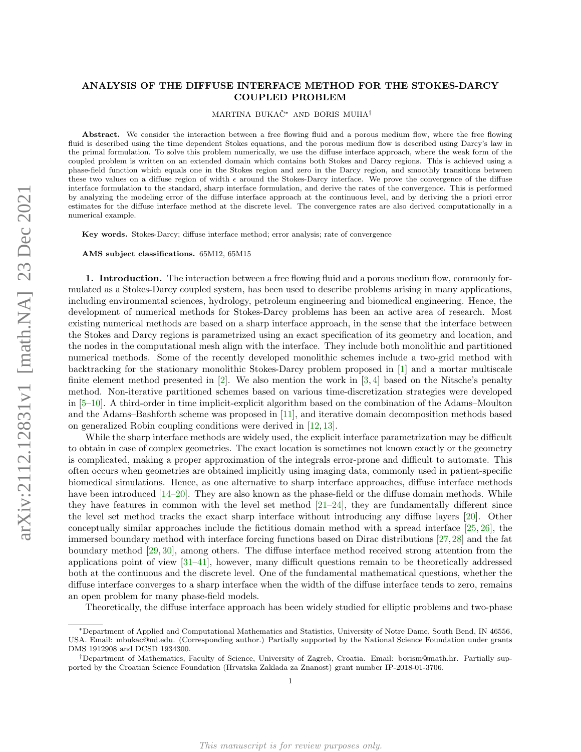## ANALYSIS OF THE DIFFUSE INTERFACE METHOD FOR THE STOKES-DARCY COUPLED PROBLEM

MARTINA BUKACˇ<sup>∗</sup> AND BORIS MUHA†

Abstract. We consider the interaction between a free flowing fluid and a porous medium flow, where the free flowing fluid is described using the time dependent Stokes equations, and the porous medium flow is described using Darcy's law in the primal formulation. To solve this problem numerically, we use the diffuse interface approach, where the weak form of the coupled problem is written on an extended domain which contains both Stokes and Darcy regions. This is achieved using a phase-field function which equals one in the Stokes region and zero in the Darcy region, and smoothly transitions between these two values on a diffuse region of width  $\epsilon$  around the Stokes-Darcy interface. We prove the convergence of the diffuse interface formulation to the standard, sharp interface formulation, and derive the rates of the convergence. This is performed by analyzing the modeling error of the diffuse interface approach at the continuous level, and by deriving the a priori error estimates for the diffuse interface method at the discrete level. The convergence rates are also derived computationally in a numerical example.

Key words. Stokes-Darcy; diffuse interface method; error analysis; rate of convergence

AMS subject classifications. 65M12, 65M15

1. Introduction. The interaction between a free flowing fluid and a porous medium flow, commonly formulated as a Stokes-Darcy coupled system, has been used to describe problems arising in many applications, including environmental sciences, hydrology, petroleum engineering and biomedical engineering. Hence, the development of numerical methods for Stokes-Darcy problems has been an active area of research. Most existing numerical methods are based on a sharp interface approach, in the sense that the interface between the Stokes and Darcy regions is parametrized using an exact specification of its geometry and location, and the nodes in the computational mesh align with the interface. They include both monolithic and partitioned numerical methods. Some of the recently developed monolithic schemes include a two-grid method with backtracking for the stationary monolithic Stokes-Darcy problem proposed in [\[1\]](#page-16-0) and a mortar multiscale finite element method presented in  $[2]$ . We also mention the work in  $[3,4]$  $[3,4]$  based on the Nitsche's penalty method. Non-iterative partitioned schemes based on various time-discretization strategies were developed in [\[5–](#page-16-4)[10\]](#page-16-5). A third-order in time implicit-explicit algorithm based on the combination of the Adams–Moulton and the Adams–Bashforth scheme was proposed in [\[11\]](#page-16-6), and iterative domain decomposition methods based on generalized Robin coupling conditions were derived in [\[12,](#page-17-0) [13\]](#page-17-1).

While the sharp interface methods are widely used, the explicit interface parametrization may be difficult to obtain in case of complex geometries. The exact location is sometimes not known exactly or the geometry is complicated, making a proper approximation of the integrals error-prone and difficult to automate. This often occurs when geometries are obtained implicitly using imaging data, commonly used in patient-specific biomedical simulations. Hence, as one alternative to sharp interface approaches, diffuse interface methods have been introduced [\[14](#page-17-2)[–20\]](#page-17-3). They are also known as the phase-field or the diffuse domain methods. While they have features in common with the level set method [\[21–](#page-17-4)[24\]](#page-17-5), they are fundamentally different since the level set method tracks the exact sharp interface without introducing any diffuse layers [\[20\]](#page-17-3). Other conceptually similar approaches include the fictitious domain method with a spread interface [\[25,](#page-17-6) [26\]](#page-17-7), the immersed boundary method with interface forcing functions based on Dirac distributions [\[27,](#page-17-8)[28\]](#page-17-9) and the fat boundary method [\[29,](#page-17-10) [30\]](#page-17-11), among others. The diffuse interface method received strong attention from the applications point of view [\[31](#page-17-12)[–41\]](#page-17-13), however, many difficult questions remain to be theoretically addressed both at the continuous and the discrete level. One of the fundamental mathematical questions, whether the diffuse interface converges to a sharp interface when the width of the diffuse interface tends to zero, remains an open problem for many phase-field models.

Theoretically, the diffuse interface approach has been widely studied for elliptic problems and two-phase

<sup>∗</sup>Department of Applied and Computational Mathematics and Statistics, University of Notre Dame, South Bend, IN 46556, USA. Email: mbukac@nd.edu. (Corresponding author.) Partially supported by the National Science Foundation under grants DMS 1912908 and DCSD 1934300.

<sup>†</sup>Department of Mathematics, Faculty of Science, University of Zagreb, Croatia. Email: borism@math.hr. Partially supported by the Croatian Science Foundation (Hrvatska Zaklada za Znanost) grant number IP-2018-01-3706.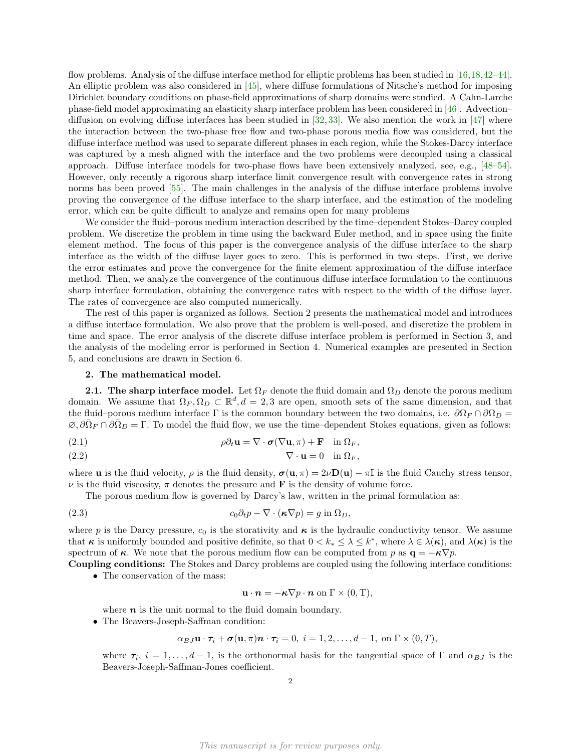flow problems. Analysis of the diffuse interface method for elliptic problems has been studied in [\[16,](#page-17-14)[18,](#page-17-15)[42–](#page-17-16)[44\]](#page-18-0). An elliptic problem was also considered in [\[45\]](#page-18-1), where diffuse formulations of Nitsche's method for imposing Dirichlet boundary conditions on phase-field approximations of sharp domains were studied. A Cahn-Larche phase-field model approximating an elasticity sharp interface problem has been considered in [\[46\]](#page-18-2). Advection– diffusion on evolving diffuse interfaces has been studied in [\[32,](#page-17-17) [33\]](#page-17-18). We also mention the work in [\[47\]](#page-18-3) where the interaction between the two-phase free flow and two-phase porous media flow was considered, but the diffuse interface method was used to separate different phases in each region, while the Stokes-Darcy interface was captured by a mesh aligned with the interface and the two problems were decoupled using a classical approach. Diffuse interface models for two-phase flows have been extensively analyzed, see, e.g., [\[48–](#page-18-4)[54\]](#page-18-5). However, only recently a rigorous sharp interface limit convergence result with convergence rates in strong norms has been proved [\[55\]](#page-18-6). The main challenges in the analysis of the diffuse interface problems involve proving the convergence of the diffuse interface to the sharp interface, and the estimation of the modeling error, which can be quite difficult to analyze and remains open for many problems

We consider the fluid–porous medium interaction described by the time–dependent Stokes–Darcy coupled problem. We discretize the problem in time using the backward Euler method, and in space using the finite element method. The focus of this paper is the convergence analysis of the diffuse interface to the sharp interface as the width of the diffuse layer goes to zero. This is performed in two steps. First, we derive the error estimates and prove the convergence for the finite element approximation of the diffuse interface method. Then, we analyze the convergence of the continuous diffuse interface formulation to the continuous sharp interface formulation, obtaining the convergence rates with respect to the width of the diffuse layer. The rates of convergence are also computed numerically.

The rest of this paper is organized as follows. Section 2 presents the mathematical model and introduces a diffuse interface formulation. We also prove that the problem is well-posed, and discretize the problem in time and space. The error analysis of the discrete diffuse interface problem is performed in Section 3, and the analysis of the modeling error is performed in Section 4. Numerical examples are presented in Section 5, and conclusions are drawn in Section 6.

#### 2. The mathematical model.

2.1. The sharp interface model. Let  $\Omega_F$  denote the fluid domain and  $\Omega_D$  denote the porous medium domain. We assume that  $\Omega_F, \Omega_D \subset \mathbb{R}^d, d = 2, 3$  are open, smooth sets of the same dimension, and that the fluid–porous medium interface Γ is the common boundary between the two domains, i.e.  $\partial\Omega_F \cap \partial\Omega_D =$  $\emptyset$ ,  $\partial \bar{\Omega}_F \cap \partial \bar{\Omega}_D = \Gamma$ . To model the fluid flow, we use the time–dependent Stokes equations, given as follows:

<span id="page-1-1"></span>(2.1) 
$$
\rho \partial_t \mathbf{u} = \nabla \cdot \boldsymbol{\sigma} (\nabla \mathbf{u}, \pi) + \mathbf{F} \quad \text{in } \Omega_F,
$$

$$
\nabla \cdot \mathbf{u} = 0 \quad \text{in } \Omega_F,
$$

where **u** is the fluid velocity,  $\rho$  is the fluid density,  $\sigma(\mathbf{u}, \pi) = 2\nu \mathbf{D}(\mathbf{u}) - \pi \mathbb{I}$  is the fluid Cauchy stress tensor,  $\nu$  is the fluid viscosity,  $\pi$  denotes the pressure and **F** is the density of volume force.

The porous medium flow is governed by Darcy's law, written in the primal formulation as:

<span id="page-1-0"></span>(2.3) 
$$
c_0 \partial_t p - \nabla \cdot (\kappa \nabla p) = g \text{ in } \Omega_D,
$$

where p is the Darcy pressure,  $c_0$  is the storativity and  $\kappa$  is the hydraulic conductivity tensor. We assume that  $\kappa$  is uniformly bounded and positive definite, so that  $0 < k_* \leq \lambda \leq k^*$ , where  $\lambda \in \lambda(\kappa)$ , and  $\lambda(\kappa)$  is the spectrum of  $\kappa$ . We note that the porous medium flow can be computed from p as  $\mathbf{q} = -\kappa \nabla p$ .

Coupling conditions: The Stokes and Darcy problems are coupled using the following interface conditions: • The conservation of the mass:

$$
\mathbf{u} \cdot \mathbf{n} = -\kappa \nabla p \cdot \mathbf{n} \text{ on } \Gamma \times (0, T),
$$

where  $n$  is the unit normal to the fluid domain boundary.

• The Beavers-Joseph-Saffman condition:

$$
\alpha_{BJ}\mathbf{u}\cdot\boldsymbol{\tau}_i+\boldsymbol{\sigma}(\mathbf{u},\pi)\boldsymbol{n}\cdot\boldsymbol{\tau}_i=0, i=1,2,\ldots,d-1, \text{ on }\Gamma\times(0,T),
$$

where  $\tau_i$ ,  $i = 1, \ldots, d-1$ , is the orthonormal basis for the tangential space of  $\Gamma$  and  $\alpha_{BJ}$  is the Beavers-Joseph-Saffman-Jones coefficient.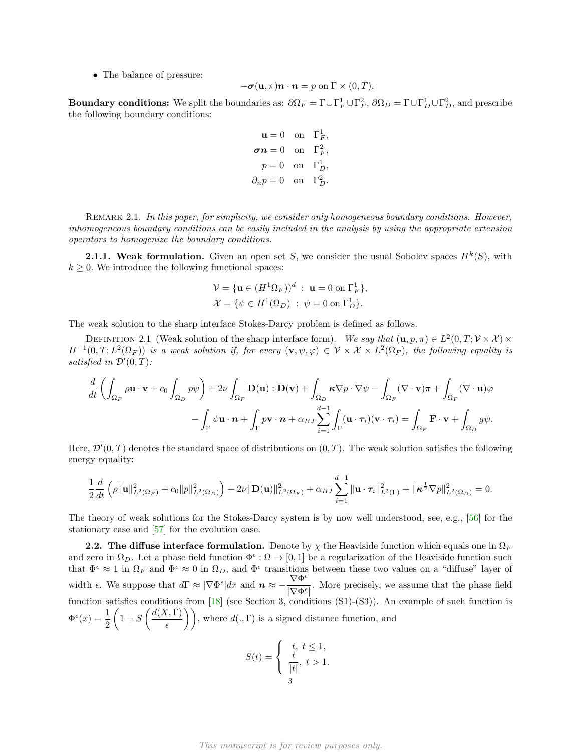• The balance of pressure:

$$
-\boldsymbol{\sigma}(\mathbf{u},\pi)\boldsymbol{n}\cdot\boldsymbol{n}=p\text{ on }\Gamma\times(0,T).
$$

**Boundary conditions:** We split the boundaries as:  $\partial \Omega_F = \Gamma \cup \Gamma_F^1 \cup \Gamma_F^2$ ,  $\partial \Omega_D = \Gamma \cup \Gamma_D^1 \cup \Gamma_D^2$ , and prescribe the following boundary conditions:

> $\mathbf{u} = 0$  on  $\Gamma_F^1$ ,  $\sigma n = 0$  on  $\Gamma_F^2$ ,  $p=0$  on  $\Gamma_D^1$ ,  $\partial_n p = 0$  on  $\Gamma_D^2$ .

REMARK 2.1. In this paper, for simplicity, we consider only homogeneous boundary conditions. However, inhomogeneous boundary conditions can be easily included in the analysis by using the appropriate extension operators to homogenize the boundary conditions.

**2.1.1. Weak formulation.** Given an open set S, we consider the usual Sobolev spaces  $H^k(S)$ , with  $k \geq 0$ . We introduce the following functional spaces:

<span id="page-2-1"></span>
$$
\mathcal{V} = {\mathbf{u} \in (H^1 \Omega_F))}^d : \mathbf{u} = 0 \text{ on } \Gamma_F^1,
$$
  

$$
\mathcal{X} = {\psi \in H^1(\Omega_D) : \psi = 0 \text{ on } \Gamma_D^1}.
$$

The weak solution to the sharp interface Stokes-Darcy problem is defined as follows.

DEFINITION 2.1 (Weak solution of the sharp interface form). We say that  $(\mathbf{u}, p, \pi) \in L^2(0, T; \mathcal{V} \times \mathcal{X}) \times$  $H^{-1}(0,T;L^2(\Omega_F))$  is a weak solution if, for every  $(\mathbf{v},\psi,\varphi)\in \mathcal{V}\times\mathcal{X}\times L^2(\Omega_F)$ , the following equality is satisfied in  $\mathcal{D}'(0,T)$ :

$$
\frac{d}{dt} \left( \int_{\Omega_F} \rho \mathbf{u} \cdot \mathbf{v} + c_0 \int_{\Omega_D} p \psi \right) + 2\nu \int_{\Omega_F} \mathbf{D}(\mathbf{u}) : \mathbf{D}(\mathbf{v}) + \int_{\Omega_D} \kappa \nabla p \cdot \nabla \psi - \int_{\Omega_F} (\nabla \cdot \mathbf{v}) \pi + \int_{\Omega_F} (\nabla \cdot \mathbf{u}) \varphi \n- \int_{\Gamma} \psi \mathbf{u} \cdot \mathbf{n} + \int_{\Gamma} p \mathbf{v} \cdot \mathbf{n} + \alpha_{BJ} \sum_{i=1}^{d-1} \int_{\Gamma} (\mathbf{u} \cdot \boldsymbol{\tau}_i) (\mathbf{v} \cdot \boldsymbol{\tau}_i) = \int_{\Omega_F} \mathbf{F} \cdot \mathbf{v} + \int_{\Omega_D} g \psi.
$$

Here,  $\mathcal{D}'(0,T)$  denotes the standard space of distributions on  $(0,T)$ . The weak solution satisfies the following energy equality:

$$
\frac{1}{2}\frac{d}{dt}\left(\rho\|\mathbf{u}\|_{L^{2}(\Omega_{F})}^{2}+c_{0}\|p\|_{L^{2}(\Omega_{D})}^{2}\right)+2\nu\|\mathbf{D}(\mathbf{u})\|_{L^{2}(\Omega_{F})}^{2}+\alpha_{BJ}\sum_{i=1}^{d-1}\|\mathbf{u}\cdot\boldsymbol{\tau}_{i}\|_{L^{2}(\Gamma)}^{2}+\|\boldsymbol{\kappa}^{\frac{1}{2}}\nabla p\|_{L^{2}(\Omega_{D})}^{2}=0.
$$

The theory of weak solutions for the Stokes-Darcy system is by now well understood, see, e.g., [\[56\]](#page-18-7) for the stationary case and [\[57\]](#page-18-8) for the evolution case.

<span id="page-2-0"></span>**2.2.** The diffuse interface formulation. Denote by  $\chi$  the Heaviside function which equals one in  $\Omega_F$ and zero in  $\Omega_D$ . Let a phase field function  $\Phi^{\epsilon}:\Omega\to[0,1]$  be a regularization of the Heaviside function such that  $\Phi^{\epsilon} \approx 1$  in  $\Omega_F$  and  $\Phi^{\epsilon} \approx 0$  in  $\Omega_D$ , and  $\Phi^{\epsilon}$  transitions between these two values on a "diffuse" layer of width  $\epsilon$ . We suppose that  $d\Gamma \approx |\nabla \Phi^{\epsilon}| dx$  and  $\mathbf{n} \approx -\frac{\nabla \Phi^{\epsilon}}{|\nabla \Phi|^2}$  $\frac{V}{|\nabla \Phi^{\epsilon}|}$ . More precisely, we assume that the phase field function satisfies conditions from [\[18\]](#page-17-15) (see Section 3, conditions (S1)-(S3)). An example of such function is  $\Phi^{\epsilon}(x) = \frac{1}{2}$  $\int 1 + S\left(\frac{d(X,\Gamma)}{dx}\right)$  $\left( \frac{\zeta, \Gamma}{\epsilon} \right)$ ), where  $d(., \Gamma)$  is a signed distance function, and

$$
S(t) = \begin{cases} t, & t \leq 1, \\ \frac{t}{|t|}, & t > 1. \end{cases}
$$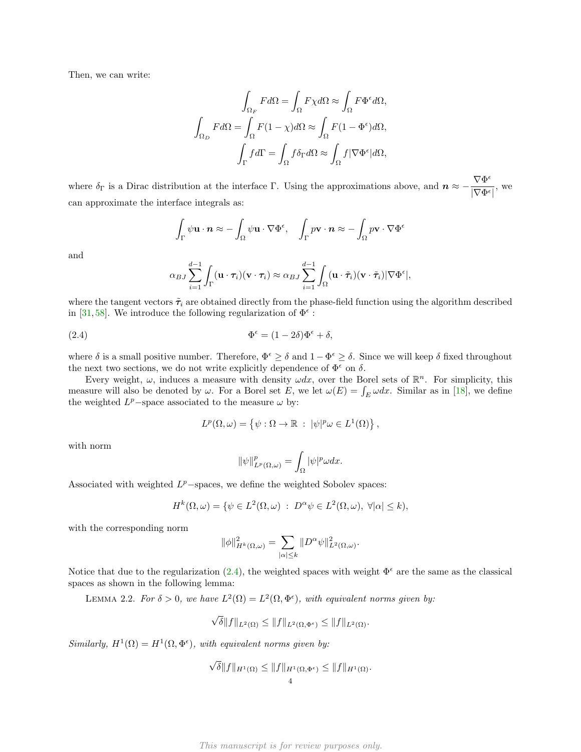Then, we can write:

$$
\int_{\Omega_F} F d\Omega = \int_{\Omega} F \chi d\Omega \approx \int_{\Omega} F \Phi^{\epsilon} d\Omega,
$$

$$
\int_{\Omega_D} F d\Omega = \int_{\Omega} F(1 - \chi) d\Omega \approx \int_{\Omega} F(1 - \Phi^{\epsilon}) d\Omega,
$$

$$
\int_{\Gamma} f d\Gamma = \int_{\Omega} f \delta_{\Gamma} d\Omega \approx \int_{\Omega} f |\nabla \Phi^{\epsilon}| d\Omega,
$$

where  $\delta_{\Gamma}$  is a Dirac distribution at the interface  $\Gamma$ . Using the approximations above, and  $n \approx -\frac{\nabla \Phi^{\epsilon}}{|\nabla \Phi|^2}$  $\frac{\sqrt{1-\epsilon}}{|\nabla \Phi^{\epsilon}|},$  we can approximate the interface integrals as:

$$
\int_{\Gamma} \psi \mathbf{u} \cdot \mathbf{n} \approx -\int_{\Omega} \psi \mathbf{u} \cdot \nabla \Phi^{\epsilon}, \quad \int_{\Gamma} p \mathbf{v} \cdot \mathbf{n} \approx -\int_{\Omega} p \mathbf{v} \cdot \nabla \Phi^{\epsilon}
$$

and

$$
\alpha_{BJ} \sum_{i=1}^{d-1} \int_{\Gamma} (\mathbf{u} \cdot \boldsymbol{\tau}_i)(\mathbf{v} \cdot \boldsymbol{\tau}_i) \approx \alpha_{BJ} \sum_{i=1}^{d-1} \int_{\Omega} (\mathbf{u} \cdot \tilde{\boldsymbol{\tau}}_i)(\mathbf{v} \cdot \tilde{\boldsymbol{\tau}}_i) |\nabla \Phi^{\epsilon}|,
$$

where the tangent vectors  $\tilde{\tau}_i$  are obtained directly from the phase-field function using the algorithm described in [\[31,](#page-17-12)[58\]](#page-18-9). We introduce the following regularization of  $\Phi^{\epsilon}$ :

<span id="page-3-0"></span>(2.4) 
$$
\Phi^{\epsilon} = (1 - 2\delta)\Phi^{\epsilon} + \delta,
$$

where  $\delta$  is a small positive number. Therefore,  $\Phi^{\epsilon} \geq \delta$  and  $1-\Phi^{\epsilon} \geq \delta$ . Since we will keep  $\delta$  fixed throughout the next two sections, we do not write explicitly dependence of  $\Phi^{\epsilon}$  on  $\delta$ .

Every weight,  $\omega$ , induces a measure with density  $\omega dx$ , over the Borel sets of  $\mathbb{R}^n$ . For simplicity, this measure will also be denoted by  $\omega$ . For a Borel set E, we let  $\omega(E) = \int_E \omega dx$ . Similar as in [\[18\]](#page-17-15), we define the weighted  $L^p$ -space associated to the measure  $\omega$  by:

$$
L^{p}(\Omega, \omega) = \{ \psi : \Omega \to \mathbb{R} : |\psi|^{p} \omega \in L^{1}(\Omega) \},
$$

with norm

$$
\|\psi\|_{L^p(\Omega,\omega)}^p=\int_\Omega |\psi|^p\omega dx.
$$

Associated with weighted  $L^p$ -spaces, we define the weighted Sobolev spaces:

$$
H^{k}(\Omega,\omega) = \{ \psi \in L^{2}(\Omega,\omega) : D^{\alpha}\psi \in L^{2}(\Omega,\omega), \ \forall |\alpha| \leq k \},
$$

with the corresponding norm

<span id="page-3-1"></span>
$$
\|\phi\|_{H^k(\Omega,\omega)}^2 = \sum_{|\alpha|\leq k} \|D^{\alpha}\psi\|_{L^2(\Omega,\omega)}^2.
$$

Notice that due to the regularization [\(2.4\)](#page-3-0), the weighted spaces with weight  $\Phi^{\epsilon}$  are the same as the classical spaces as shown in the following lemma:

LEMMA 2.2. For  $\delta > 0$ , we have  $L^2(\Omega) = L^2(\Omega, \Phi^{\epsilon})$ , with equivalent norms given by:

$$
\sqrt{\delta}||f||_{L^2(\Omega)} \le ||f||_{L^2(\Omega,\Phi^\epsilon)} \le ||f||_{L^2(\Omega)}.
$$

Similarly,  $H^1(\Omega) = H^1(\Omega, \Phi^{\epsilon})$ , with equivalent norms given by:

$$
\sqrt{\delta}||f||_{H^1(\Omega)} \leq ||f||_{H^1(\Omega,\Phi^\epsilon)} \leq ||f||_{H^1(\Omega)}.
$$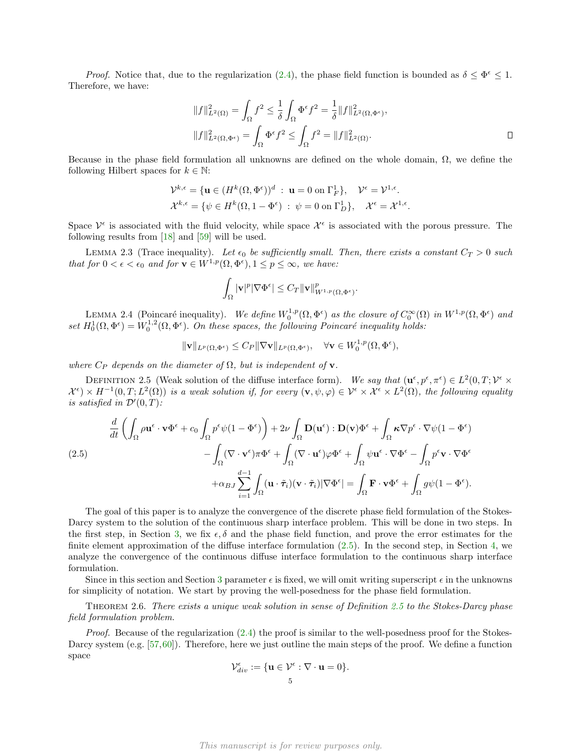*Proof.* Notice that, due to the regularization [\(2.4\)](#page-3-0), the phase field function is bounded as  $\delta \leq \Phi^{\epsilon} \leq 1$ . Therefore, we have:

$$
||f||_{L^{2}(\Omega)}^{2} = \int_{\Omega} f^{2} \leq \frac{1}{\delta} \int_{\Omega} \Phi^{\epsilon} f^{2} = \frac{1}{\delta} ||f||_{L^{2}(\Omega, \Phi^{\epsilon})}^{2},
$$
  

$$
||f||_{L^{2}(\Omega, \Phi^{\epsilon})}^{2} = \int_{\Omega} \Phi^{\epsilon} f^{2} \leq \int_{\Omega} f^{2} = ||f||_{L^{2}(\Omega)}^{2}.
$$

Because in the phase field formulation all unknowns are defined on the whole domain,  $\Omega$ , we define the following Hilbert spaces for  $k \in \mathbb{N}$ :

$$
\mathcal{V}^{k,\epsilon} = \{ \mathbf{u} \in (H^k(\Omega, \Phi^{\epsilon}))^d : \mathbf{u} = 0 \text{ on } \Gamma_F^1 \}, \quad \mathcal{V}^{\epsilon} = \mathcal{V}^{1,\epsilon}.
$$
  

$$
\mathcal{X}^{k,\epsilon} = \{ \psi \in H^k(\Omega, 1 - \Phi^{\epsilon}) : \psi = 0 \text{ on } \Gamma_D^1 \}, \quad \mathcal{X}^{\epsilon} = \mathcal{X}^{1,\epsilon}.
$$

Space  $\mathcal{V}^{\epsilon}$  is associated with the fluid velocity, while space  $\mathcal{X}^{\epsilon}$  is associated with the porous pressure. The following results from [\[18\]](#page-17-15) and [\[59\]](#page-18-10) will be used.

LEMMA 2.3 (Trace inequality). Let  $\epsilon_0$  be sufficiently small. Then, there exists a constant  $C_T > 0$  such that for  $0 < \epsilon < \epsilon_0$  and for  $\mathbf{v} \in W^{1,p}(\Omega, \Phi^{\epsilon}), 1 \le p \le \infty$ , we have:

<span id="page-4-2"></span>
$$
\int_{\Omega} |\mathbf{v}|^p |\nabla \Phi^{\epsilon}| \leq C_T \|\mathbf{v}\|_{W^{1,p}(\Omega, \Phi^{\epsilon})}^p.
$$

<span id="page-4-3"></span>LEMMA 2.4 (Poincaré inequality). We define  $W_0^{1,p}(\Omega,\Phi^\epsilon)$  as the closure of  $C_0^{\infty}(\Omega)$  in  $W^{1,p}(\Omega,\Phi^\epsilon)$  and set  $H_0^1(\Omega,\Phi^\epsilon) = W_0^{1,2}(\Omega,\Phi^\epsilon)$ . On these spaces, the following Poincaré inequality holds:

$$
\|\mathbf{v}\|_{L^p(\Omega,\Phi^\epsilon)} \leq C_P \|\nabla \mathbf{v}\|_{L^p(\Omega,\Phi^\epsilon)}, \quad \forall \mathbf{v} \in W_0^{1,p}(\Omega,\Phi^\epsilon),
$$

where  $C_P$  depends on the diameter of  $\Omega$ , but is independent of **v**.

<span id="page-4-1"></span>DEFINITION 2.5 (Weak solution of the diffuse interface form). We say that  $(\mathbf{u}^{\epsilon}, p^{\epsilon}, \pi^{\epsilon}) \in L^2(0,T; \mathcal{V}^{\epsilon} \times$  $\mathcal{X}^{\epsilon} \times H^{-1}(0,T;L^2(\Omega))$  is a weak solution if, for every  $(\mathbf{v},\psi,\varphi) \in \mathcal{V}^{\epsilon} \times \mathcal{X}^{\epsilon} \times L^2(\Omega)$ , the following equality is satisfied in  $\mathcal{D}'(0,T)$ :

<span id="page-4-0"></span>
$$
\frac{d}{dt} \left( \int_{\Omega} \rho \mathbf{u}^{\epsilon} \cdot \mathbf{v} \Phi^{\epsilon} + c_0 \int_{\Omega} p^{\epsilon} \psi (1 - \Phi^{\epsilon}) \right) + 2\nu \int_{\Omega} \mathbf{D}(\mathbf{u}^{\epsilon}) : \mathbf{D}(\mathbf{v}) \Phi^{\epsilon} + \int_{\Omega} \kappa \nabla p^{\epsilon} \cdot \nabla \psi (1 - \Phi^{\epsilon}) \n- \int_{\Omega} (\nabla \cdot \mathbf{v}^{\epsilon}) \pi \Phi^{\epsilon} + \int_{\Omega} (\nabla \cdot \mathbf{u}^{\epsilon}) \varphi \Phi^{\epsilon} + \int_{\Omega} \psi \mathbf{u}^{\epsilon} \cdot \nabla \Phi^{\epsilon} - \int_{\Omega} p^{\epsilon} \mathbf{v} \cdot \nabla \Phi^{\epsilon} \n+ \alpha_{BJ} \sum_{i=1}^{d-1} \int_{\Omega} (\mathbf{u} \cdot \tilde{\boldsymbol{\tau}}_i) (\mathbf{v} \cdot \tilde{\boldsymbol{\tau}}_i) |\nabla \Phi^{\epsilon}| = \int_{\Omega} \mathbf{F} \cdot \mathbf{v} \Phi^{\epsilon} + \int_{\Omega} g \psi (1 - \Phi^{\epsilon}).
$$

The goal of this paper is to analyze the convergence of the discrete phase field formulation of the Stokes-Darcy system to the solution of the continuous sharp interface problem. This will be done in two steps. In the first step, in Section [3,](#page-6-0) we fix  $\epsilon, \delta$  and the phase field function, and prove the error estimates for the finite element approximation of the diffuse interface formulation  $(2.5)$ . In the second step, in Section [4,](#page-11-0) we analyze the convergence of the continuous diffuse interface formulation to the continuous sharp interface formulation.

Since in this section and Section [3](#page-6-0) parameter  $\epsilon$  is fixed, we will omit writing superscript  $\epsilon$  in the unknowns for simplicity of notation. We start by proving the well-posedness for the phase field formulation.

<span id="page-4-4"></span>THEOREM 2.6. There exists a unique weak solution in sense of Definition [2.5](#page-4-1) to the Stokes-Darcy phase field formulation problem.

Proof. Because of the regularization [\(2.4\)](#page-3-0) the proof is similar to the well-posedness proof for the Stokes-Darcy system (e.g. [\[57,](#page-18-8)[60\]](#page-18-11)). Therefore, here we just outline the main steps of the proof. We define a function space

$$
\mathcal{V}_{div}^{\epsilon} := \{ \mathbf{u} \in \mathcal{V}^{\epsilon} : \nabla \cdot \mathbf{u} = 0 \}.
$$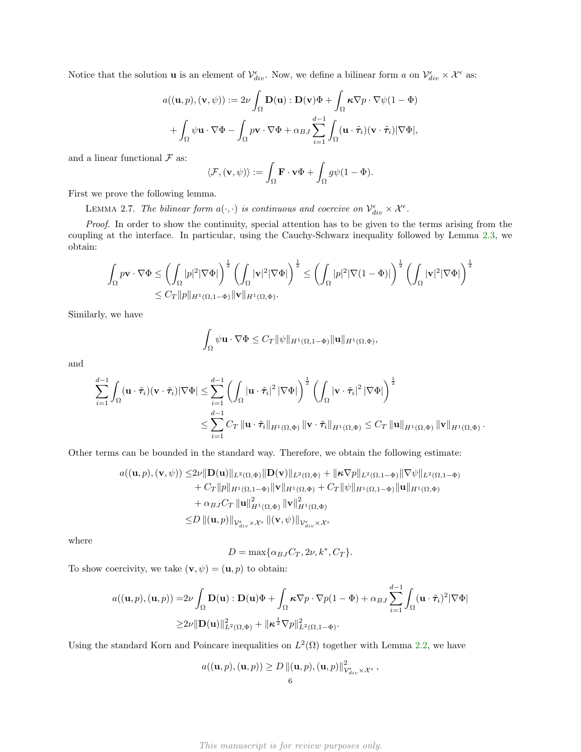Notice that the solution **u** is an element of  $\mathcal{V}_{div}^{\epsilon}$ . Now, we define a bilinear form a on  $\mathcal{V}_{div}^{\epsilon} \times \mathcal{X}^{\epsilon}$  as:

$$
a((\mathbf{u},p),(\mathbf{v},\psi)) := 2\nu \int_{\Omega} \mathbf{D}(\mathbf{u}) : \mathbf{D}(\mathbf{v})\Phi + \int_{\Omega} \kappa \nabla p \cdot \nabla \psi (1 - \Phi) + \int_{\Omega} \psi \mathbf{u} \cdot \nabla \Phi - \int_{\Omega} p \mathbf{v} \cdot \nabla \Phi + \alpha_{BJ} \sum_{i=1}^{d-1} \int_{\Omega} (\mathbf{u} \cdot \tilde{\tau}_i) (\mathbf{v} \cdot \tilde{\tau}_i) |\nabla \Phi|,
$$

and a linear functional  ${\mathcal F}$  as:

<span id="page-5-0"></span>
$$
\langle \mathcal{F}, (\mathbf{v}, \psi) \rangle := \int_{\Omega} \mathbf{F} \cdot \mathbf{v} \Phi + \int_{\Omega} g \psi (1 - \Phi).
$$

First we prove the following lemma.

LEMMA 2.7. The bilinear form  $a(\cdot, \cdot)$  is continuous and coercive on  $\mathcal{V}_{div}^{\epsilon} \times \mathcal{X}^{\epsilon}$ .

Proof. In order to show the continuity, special attention has to be given to the terms arising from the coupling at the interface. In particular, using the Cauchy-Schwarz inequality followed by Lemma [2.3,](#page-4-2) we obtain:

$$
\begin{aligned} \int_{\Omega}p\mathbf{v}\cdot\nabla \Phi &\leq \left(\int_{\Omega}|p|^{2}|\nabla \Phi|\right)^{\frac{1}{2}}\left(\int_{\Omega}|\mathbf{v}|^{2}|\nabla \Phi|\right)^{\frac{1}{2}} \leq \left(\int_{\Omega}|p|^{2}|\nabla (1-\Phi)|\right)^{\frac{1}{2}}\left(\int_{\Omega}|\mathbf{v}|^{2}|\nabla \Phi|\right)^{\frac{1}{2}}\\ &\leq C_{T}\|p\|_{H^{1}(\Omega,1-\Phi)}\|\mathbf{v}\|_{H^{1}(\Omega,\Phi)}. \end{aligned}
$$

Similarly, we have

$$
\int_{\Omega} \psi \mathbf{u} \cdot \nabla \Phi \leq C_T ||\psi||_{H^1(\Omega, 1-\Phi)} ||\mathbf{u}||_{H^1(\Omega, \Phi)},
$$

and

$$
\sum_{i=1}^{d-1} \int_{\Omega} (\mathbf{u} \cdot \tilde{\boldsymbol{\tau}}_i)(\mathbf{v} \cdot \tilde{\boldsymbol{\tau}}_i) |\nabla \Phi| \leq \sum_{i=1}^{d-1} \left( \int_{\Omega} |\mathbf{u} \cdot \tilde{\boldsymbol{\tau}}_i|^2 |\nabla \Phi| \right)^{\frac{1}{2}} \left( \int_{\Omega} |\mathbf{v} \cdot \tilde{\boldsymbol{\tau}}_i|^2 |\nabla \Phi| \right)^{\frac{1}{2}} \newline \leq \sum_{i=1}^{d-1} C_T \left\| \mathbf{u} \cdot \tilde{\boldsymbol{\tau}}_i \right\|_{H^1(\Omega, \Phi)} \left\| \mathbf{v} \cdot \tilde{\boldsymbol{\tau}}_i \right\|_{H^1(\Omega, \Phi)} \leq C_T \left\| \mathbf{u} \right\|_{H^1(\Omega, \Phi)} \left\| \mathbf{v} \right\|_{H^1(\Omega, \Phi)}.
$$

Other terms can be bounded in the standard way. Therefore, we obtain the following estimate:

$$
a((\mathbf{u},p),(\mathbf{v},\psi)) \leq 2\nu \|\mathbf{D}(\mathbf{u})\|_{L^{2}(\Omega,\Phi)} \|\mathbf{D}(\mathbf{v})\|_{L^{2}(\Omega,\Phi)} + \|\kappa\nabla p\|_{L^{2}(\Omega,1-\Phi)} \|\nabla\psi\|_{L^{2}(\Omega,1-\Phi)} + Cr\|p\|_{H^{1}(\Omega,1-\Phi)} \|\mathbf{v}\|_{H^{1}(\Omega,\Phi)} + Cr\|\psi\|_{H^{1}(\Omega,1-\Phi)} \|\mathbf{u}\|_{H^{1}(\Omega,\Phi)} + \alpha_{BJ}Cr\|\mathbf{u}\|_{H^{1}(\Omega,\Phi)}^{2} \|\mathbf{v}\|_{H^{1}(\Omega,\Phi)}^{2} \leq D\|(\mathbf{u},p)\|_{\mathcal{V}_{div}^{\epsilon}\times\mathcal{X}^{\epsilon}} \|( \mathbf{v},\psi)\|_{\mathcal{V}_{div}^{\epsilon}\times\mathcal{X}^{\epsilon}}
$$

where

$$
D = \max\{\alpha_{BJ}C_T, 2\nu, k^*, C_T\}.
$$

To show coercivity, we take  $(\mathbf{v}, \psi) = (\mathbf{u}, p)$  to obtain:

$$
a((\mathbf{u},p),(\mathbf{u},p)) = 2\nu \int_{\Omega} \mathbf{D}(\mathbf{u}) : \mathbf{D}(\mathbf{u})\Phi + \int_{\Omega} \kappa \nabla p \cdot \nabla p(1-\Phi) + \alpha_{BJ} \sum_{i=1}^{d-1} \int_{\Omega} (\mathbf{u} \cdot \tilde{\boldsymbol{\tau}}_i)^2 |\nabla \Phi|
$$
  
 
$$
\geq 2\nu \|\mathbf{D}(\mathbf{u})\|_{L^2(\Omega,\Phi)}^2 + \|\kappa^{\frac{1}{2}} \nabla p\|_{L^2(\Omega,1-\Phi)}^2.
$$

Using the standard Korn and Poincare inequalities on  $L^2(\Omega)$  together with Lemma [2.2,](#page-3-1) we have

$$
a((\mathbf{u},p),(\mathbf{u},p)) \ge D ||(\mathbf{u},p),(\mathbf{u},p)||^2_{\mathcal{V}^{\varepsilon}_{div} \times \mathcal{X}^{\varepsilon}},
$$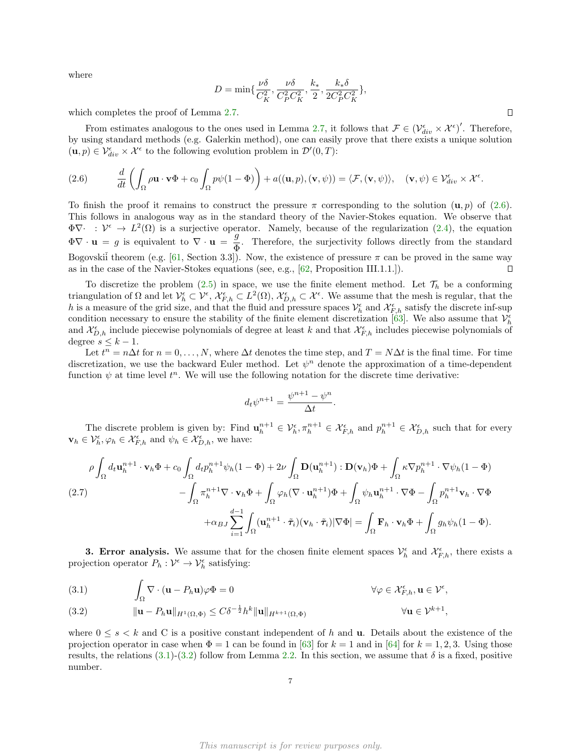where

$$
D = \min\{\frac{\nu \delta}{C_K^2}, \frac{\nu \delta}{C_P^2 C_K^2}, \frac{k_*}{2}, \frac{k_* \delta}{2C_P^2 C_K^2}\},\
$$

which completes the proof of Lemma [2.7.](#page-5-0)

From estimates analogous to the ones used in Lemma [2.7,](#page-5-0) it follows that  $\mathcal{F} \in (\mathcal{V}_{div}^{\epsilon} \times \mathcal{X}^{\epsilon})'$ . Therefore, by using standard methods (e.g. Galerkin method), one can easily prove that there exists a unique solution  $(\mathbf{u}, p) \in \mathcal{V}_{div}^{\epsilon} \times \mathcal{X}^{\epsilon}$  to the following evolution problem in  $\mathcal{D}'(0,T)$ :

<span id="page-6-1"></span>(2.6) 
$$
\frac{d}{dt}\left(\int_{\Omega}\rho\mathbf{u}\cdot\mathbf{v}\Phi+c_0\int_{\Omega}p\psi(1-\Phi)\right)+a((\mathbf{u},p),(\mathbf{v},\psi))=\langle\mathcal{F},(\mathbf{v},\psi)\rangle,\quad(\mathbf{v},\psi)\in\mathcal{V}_{div}^{\epsilon}\times\mathcal{X}^{\epsilon}.
$$

To finish the proof it remains to construct the pressure  $\pi$  corresponding to the solution  $(\mathbf{u}, p)$  of [\(2.6\)](#page-6-1). This follows in analogous way as in the standard theory of the Navier-Stokes equation. We observe that  $\Phi \nabla \cdot : \mathcal{V}^{\epsilon} \to L^{2}(\Omega)$  is a surjective operator. Namely, because of the regularization [\(2.4\)](#page-3-0), the equation  $\Phi \nabla \cdot \mathbf{u} = g$  is equivalent to  $\nabla \cdot \mathbf{u} = \frac{g}{\pi}$  $\frac{9}{9}$ . Therefore, the surjectivity follows directly from the standard Bogovskii theorem (e.g. [\[61,](#page-18-12) Section 3.3]). Now, the existence of pressure  $\pi$  can be proved in the same way as in the case of the Navier-Stokes equations (see, e.g., [\[62,](#page-18-13) Proposition III.1.1.]).  $\Box$ 

To discretize the problem [\(2.5\)](#page-4-0) in space, we use the finite element method. Let  $\mathcal{T}_h$  be a conforming triangulation of  $\Omega$  and let  $\mathcal{V}_h^{\epsilon} \subset \mathcal{V}^{\epsilon}$ ,  $\mathcal{X}_{F,h}^{\epsilon} \subset L^2(\Omega)$ ,  $\mathcal{X}_{D,h}^{\epsilon} \subset \mathcal{X}^{\epsilon}$ . We assume that the mesh is regular, that the h is a measure of the grid size, and that the fluid and pressure spaces  $\mathcal{V}_h^{\epsilon}$  and  $\mathcal{X}_{F,h}^{\epsilon}$  satisfy the discrete inf-sup condition necessary to ensure the stability of the finite element discretization [\[63\]](#page-18-14). We also assume that  $\mathcal{V}_h^{\epsilon}$ and  $\mathcal{X}_{D,h}^{\epsilon}$  include piecewise polynomials of degree at least k and that  $\mathcal{X}_{F,h}^{\epsilon}$  includes piecewise polynomials of degree  $s \leq k - 1$ .

Let  $t^n = n\Delta t$  for  $n = 0, \ldots, N$ , where  $\Delta t$  denotes the time step, and  $T = N\Delta t$  is the final time. For time discretization, we use the backward Euler method. Let  $\psi^n$  denote the approximation of a time-dependent function  $\psi$  at time level  $t^n$ . We will use the following notation for the discrete time derivative:

$$
d_t\psi^{n+1}=\frac{\psi^{n+1}-\psi^n}{\Delta t}.
$$

The discrete problem is given by: Find  $\mathbf{u}_h^{n+1} \in \mathcal{V}_h^{\epsilon}, \pi_h^{n+1} \in \mathcal{X}_{F,h}^{\epsilon}$  and  $p_h^{n+1} \in \mathcal{X}_{D,h}^{\epsilon}$  such that for every  $\mathbf{v}_h \in \mathcal{V}_h^{\epsilon}, \varphi_h \in \mathcal{X}_{F,h}^{\epsilon}$  and  $\psi_h \in \mathcal{X}_{D,h}^{\epsilon}$ , we have:

<span id="page-6-4"></span>
$$
\rho \int_{\Omega} d_t \mathbf{u}_h^{n+1} \cdot \mathbf{v}_h \Phi + c_0 \int_{\Omega} d_t p_h^{n+1} \psi_h (1 - \Phi) + 2\nu \int_{\Omega} \mathbf{D}(\mathbf{u}_h^{n+1}) : \mathbf{D}(\mathbf{v}_h) \Phi + \int_{\Omega} \kappa \nabla p_h^{n+1} \cdot \nabla \psi_h (1 - \Phi) - \int_{\Omega} \pi_h^{n+1} \nabla \cdot \mathbf{v}_h \Phi + \int_{\Omega} \varphi_h (\nabla \cdot \mathbf{u}_h^{n+1}) \Phi + \int_{\Omega} \psi_h \mathbf{u}_h^{n+1} \cdot \nabla \Phi - \int_{\Omega} p_h^{n+1} \mathbf{v}_h \cdot \nabla \Phi + \alpha_{BJ} \sum_{i=1}^{d-1} \int_{\Omega} (\mathbf{u}_h^{n+1} \cdot \tilde{\tau}_i)(\mathbf{v}_h \cdot \tilde{\tau}_i) |\nabla \Phi| = \int_{\Omega} \mathbf{F}_h \cdot \mathbf{v}_h \Phi + \int_{\Omega} g_h \psi_h (1 - \Phi).
$$

<span id="page-6-0"></span>**3. Error analysis.** We assume that for the chosen finite element spaces  $\mathcal{V}_h^{\epsilon}$  and  $\mathcal{X}_{F,h}^{\epsilon}$ , there exists a projection operator  $P_h: \mathcal{V}^{\epsilon} \to \mathcal{V}_h^{\epsilon}$  satisfying:

<span id="page-6-2"></span>(3.1) 
$$
\int_{\Omega} \nabla \cdot (\mathbf{u} - P_h \mathbf{u}) \varphi \Phi = 0 \qquad \forall \varphi \in \mathcal{X}_{F,h}^{\epsilon}, \mathbf{u} \in \mathcal{V}^{\epsilon},
$$

<span id="page-6-3"></span>(3.2) 
$$
\|\mathbf{u} - P_h \mathbf{u}\|_{H^1(\Omega, \Phi)} \leq C\delta^{-\frac{1}{2}} h^k \|\mathbf{u}\|_{H^{k+1}(\Omega, \Phi)} \qquad \forall \mathbf{u} \in \mathcal{V}^{k+1},
$$

where  $0 \leq s \leq k$  and C is a positive constant independent of h and **u**. Details about the existence of the projection operator in case when  $\Phi = 1$  can be found in [\[63\]](#page-18-14) for  $k = 1$  and in [\[64\]](#page-18-15) for  $k = 1, 2, 3$ . Using those results, the relations  $(3.1)-(3.2)$  $(3.1)-(3.2)$  follow from Lemma [2.2.](#page-3-1) In this section, we assume that  $\delta$  is a fixed, positive number.

 $\Box$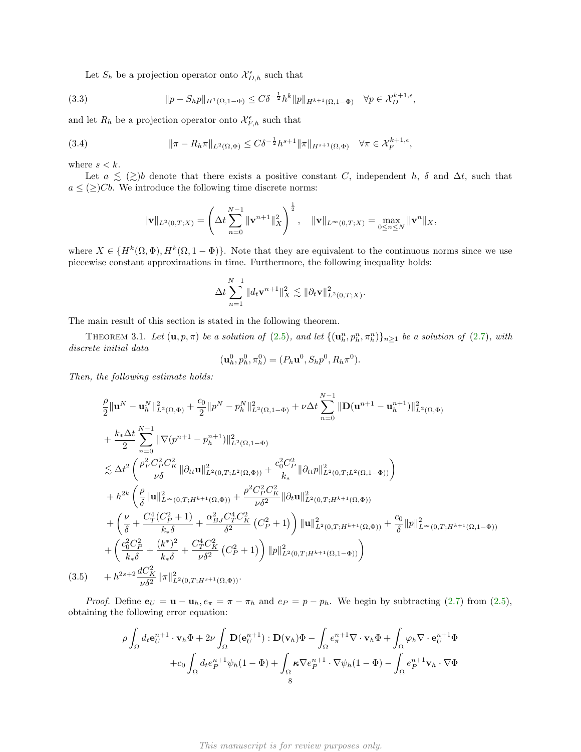Let  $S_h$  be a projection operator onto  $\mathcal{X}_{D,h}^{\epsilon}$  such that

(3.3) 
$$
||p - S_h p||_{H^1(\Omega, 1 - \Phi)} \leq C\delta^{-\frac{1}{2}} h^k ||p||_{H^{k+1}(\Omega, 1 - \Phi)} \quad \forall p \in \mathcal{X}_D^{k+1, \epsilon},
$$

and let  $R_h$  be a projection operator onto  $\mathcal{X}_{F,h}^{\epsilon}$  such that

<span id="page-7-0"></span>(3.4) 
$$
\|\pi - R_h \pi\|_{L^2(\Omega,\Phi)} \leq C\delta^{-\frac{1}{2}} h^{s+1} \|\pi\|_{H^{s+1}(\Omega,\Phi)} \quad \forall \pi \in \mathcal{X}_F^{k+1,\epsilon},
$$

where  $s < k$ .

Let  $a \leq (\geq) b$  denote that there exists a positive constant C, independent h,  $\delta$  and  $\Delta t$ , such that  $a \leq (\geq)Cb$ . We introduce the following time discrete norms:

$$
\|\mathbf{v}\|_{L^2(0,T;X)} = \left(\Delta t \sum_{n=0}^{N-1} \|\mathbf{v}^{n+1}\|_{X}^2\right)^{\frac{1}{2}}, \quad \|\mathbf{v}\|_{L^\infty(0,T;X)} = \max_{0 \le n \le N} \|\mathbf{v}^n\|_{X},
$$

where  $X \in \{H^k(\Omega,\Phi), H^k(\Omega,1-\Phi)\}.$  Note that they are equivalent to the continuous norms since we use piecewise constant approximations in time. Furthermore, the following inequality holds:

$$
\Delta t \sum_{n=1}^{N-1} \|d_t \mathbf{v}^{n+1}\|_X^2 \lesssim \|\partial_t \mathbf{v}\|_{L^2(0,T;X)}^2.
$$

The main result of this section is stated in the following theorem.

THEOREM 3.1. Let  $(\mathbf{u}, p, \pi)$  be a solution of  $(2.5)$ , and let  $\{(\mathbf{u}_h^n, p_h^n, \pi_h^n)\}_{n\geq 1}$  be a solution of  $(2.7)$ , with discrete initial data

<span id="page-7-1"></span>
$$
(\mathbf{u}_h^0, p_h^0, \pi_h^0) = (P_h \mathbf{u}^0, S_h p^0, R_h \pi^0).
$$

Then, the following estimate holds:

$$
\frac{\rho}{2} \|\mathbf{u}^{N} - \mathbf{u}_{h}^{N}\|_{L^{2}(\Omega,\Phi)}^{2} + \frac{c_{0}}{2} \|p^{N} - p_{h}^{N}\|_{L^{2}(\Omega,1-\Phi)}^{2} + \nu \Delta t \sum_{n=0}^{N-1} \|\mathbf{D}(\mathbf{u}^{n+1} - \mathbf{u}_{h}^{n+1})\|_{L^{2}(\Omega,\Phi)}^{2}
$$
\n
$$
+ \frac{k_{*} \Delta t}{2} \sum_{n=0}^{N-1} \|\nabla(p^{n+1} - p_{h}^{n+1})\|_{L^{2}(\Omega,1-\Phi)}^{2}
$$
\n
$$
\lesssim \Delta t^{2} \left(\frac{\rho_{F}^{2} C_{P}^{2} C_{K}^{2}}{\nu \delta} \|\partial_{tt} \mathbf{u}\|_{L^{2}(0,T;L^{2}(\Omega,\Phi))}^{2} + \frac{c_{0}^{2} C_{P}^{2}}{k_{*}} \|\partial_{tt} p\|_{L^{2}(0,T;L^{2}(\Omega,1-\Phi))}^{2}\right)
$$
\n
$$
+ h^{2k} \left(\frac{\rho}{\delta} \|\mathbf{u}\|_{L^{\infty}(0,T;H^{k+1}(\Omega,\Phi))}^{2} + \frac{\rho^{2} C_{P}^{2} C_{K}^{2}}{\nu \delta^{2}} \|\partial_{t} \mathbf{u}\|_{L^{2}(0,T;H^{k+1}(\Omega,\Phi))}^{2}
$$
\n
$$
+ \left(\frac{\nu}{\delta} + \frac{C_{T}^{4} (C_{P}^{2} + 1)}{k_{*} \delta} + \frac{\alpha_{B}^{2} \int C_{T}^{4} C_{K}^{2}}{\delta^{2}} (C_{P}^{2} + 1) \right) \|\mathbf{u}\|_{L^{2}(0,T;H^{k+1}(\Omega,\Phi))}^{2} + \frac{c_{0}}{\delta} \|p\|_{L^{\infty}(0,T;H^{k+1}(\Omega,1-\Phi))}^{2}
$$
\n
$$
+ \left(\frac{c_{0}^{2} C_{P}^{2}}{k_{*} \delta} + \frac{(k^{*})^{2}}{k_{*} \delta} + \frac{C_{T}^{4} C_{K}^{2}}{\nu \delta^{2}} (C_{P}^{2} + 1) \right) \|p\|_{L^{2}(0
$$

*Proof.* Define  $\mathbf{e}_U = \mathbf{u} - \mathbf{u}_h$ ,  $e_\pi = \pi - \pi_h$  and  $e_P = p - p_h$ . We begin by subtracting [\(2.7\)](#page-6-4) from [\(2.5\)](#page-4-0), obtaining the following error equation:

$$
\rho \int_{\Omega} d_t \mathbf{e}_U^{n+1} \cdot \mathbf{v}_h \Phi + 2\nu \int_{\Omega} \mathbf{D}(\mathbf{e}_U^{n+1}) : \mathbf{D}(\mathbf{v}_h) \Phi - \int_{\Omega} e_{\pi}^{n+1} \nabla \cdot \mathbf{v}_h \Phi + \int_{\Omega} \varphi_h \nabla \cdot \mathbf{e}_U^{n+1} \Phi \n+ c_0 \int_{\Omega} d_t e_p^{n+1} \psi_h (1 - \Phi) + \int_{\Omega} \kappa \nabla e_p^{n+1} \cdot \nabla \psi_h (1 - \Phi) - \int_{\Omega} e_p^{n+1} \mathbf{v}_h \cdot \nabla \Phi
$$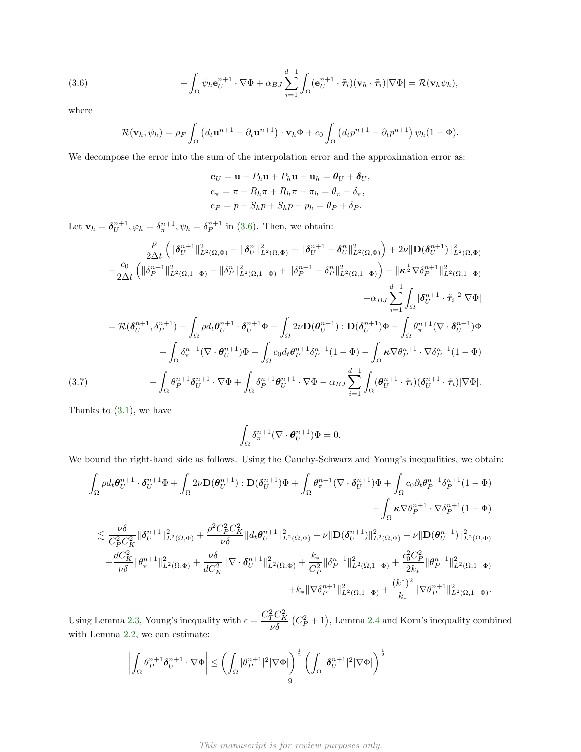<span id="page-8-0"></span>(3.6) 
$$
+ \int_{\Omega} \psi_h \mathbf{e}_U^{n+1} \cdot \nabla \Phi + \alpha_{BJ} \sum_{i=1}^{d-1} \int_{\Omega} (\mathbf{e}_U^{n+1} \cdot \tilde{\boldsymbol{\tau}}_i) (\mathbf{v}_h \cdot \tilde{\boldsymbol{\tau}}_i) |\nabla \Phi| = \mathcal{R}(\mathbf{v}_h \psi_h),
$$

where

$$
\mathcal{R}(\mathbf{v}_h, \psi_h) = \rho_F \int_{\Omega} \left( d_t \mathbf{u}^{n+1} - \partial_t \mathbf{u}^{n+1} \right) \cdot \mathbf{v}_h \Phi + c_0 \int_{\Omega} \left( d_t p^{n+1} - \partial_t p^{n+1} \right) \psi_h (1 - \Phi).
$$

We decompose the error into the sum of the interpolation error and the approximation error as:

$$
\mathbf{e}_U = \mathbf{u} - P_h \mathbf{u} + P_h \mathbf{u} - \mathbf{u}_h = \boldsymbol{\theta}_U + \boldsymbol{\delta}_U,
$$
  
\n
$$
e_\pi = \pi - R_h \pi + R_h \pi - \pi_h = \theta_\pi + \delta_\pi,
$$
  
\n
$$
e_P = p - S_h p + S_h p - p_h = \theta_P + \delta_P.
$$

Let  $\mathbf{v}_h = \boldsymbol{\delta}_U^{n+1}, \varphi_h = \delta_{\pi}^{n+1}, \psi_h = \delta_P^{n+1}$  in [\(3.6\)](#page-8-0). Then, we obtain:

$$
\frac{\rho}{2\Delta t} \left( \|\delta_{U}^{n+1}\|_{L^{2}(\Omega,\Phi)}^{2} - \|\delta_{U}^{n}\|_{L^{2}(\Omega,\Phi)}^{2} + \|\delta_{U}^{n+1} - \delta_{U}^{n}\|_{L^{2}(\Omega,\Phi)}^{2} \right) + 2\nu \|\mathbf{D}(\delta_{U}^{n+1})\|_{L^{2}(\Omega,\Phi)}^{2}
$$
\n
$$
+ \frac{c_{0}}{2\Delta t} \left( \|\delta_{P}^{n+1}\|_{L^{2}(\Omega,1-\Phi)}^{2} - \|\delta_{P}^{n}\|_{L^{2}(\Omega,1-\Phi)}^{2} + \|\delta_{P}^{n+1} - \delta_{P}^{n}\|_{L^{2}(\Omega,1-\Phi)}^{2} \right) + \|\kappa^{\frac{1}{2}}\nabla\delta_{P}^{n+1}\|_{L^{2}(\Omega,1-\Phi)}^{2}
$$
\n
$$
+ \alpha_{BJ} \sum_{i=1}^{d-1} \int_{\Omega} |\delta_{U}^{n+1} \cdot \tilde{\tau}_{i}|^{2} |\nabla\Phi|
$$
\n
$$
= \mathcal{R}(\delta_{U}^{n+1},\delta_{P}^{n+1}) - \int_{\Omega} \rho d_{t} \theta_{U}^{n+1} \cdot \delta_{U}^{n+1} \Phi - \int_{\Omega} 2\nu \mathbf{D}(\theta_{U}^{n+1}) : \mathbf{D}(\delta_{U}^{n+1}) \Phi + \int_{\Omega} \theta_{\pi}^{n+1} (\nabla \cdot \delta_{U}^{n+1}) \Phi - \int_{\Omega} \delta_{\pi}^{n+1} (\nabla \cdot \theta_{U}^{n+1}) \Phi - \int_{\Omega} c_{0} d_{t} \theta_{P}^{n+1} \delta_{P}^{n+1} (1 - \Phi) - \int_{\Omega} \kappa \nabla\theta_{P}^{n+1} \cdot \nabla\delta_{P}^{n+1} (1 - \Phi)
$$
\n(3.7)\n
$$
- \int_{\Omega} \theta_{P}^{n+1} \delta_{U}^{n+1} \cdot \nabla\Phi + \int_{\Omega} \delta_{P}^{n+1} \theta_{U}^{n+1} \cdot \nabla\Phi - \alpha_{BJ} \sum_{i=1}^{d-1} \int_{\Omega} (\theta_{U}^{n+
$$

<span id="page-8-1"></span>Thanks to [\(3.1\)](#page-6-2), we have

$$
\int_{\Omega} \delta_{\pi}^{n+1} (\nabla \cdot \boldsymbol{\theta}_{U}^{n+1}) \Phi = 0.
$$

We bound the right-hand side as follows. Using the Cauchy-Schwarz and Young's inequalities, we obtain:

$$
\begin{split} \int_{\Omega}\rho d_{t}\theta_{U}^{n+1}\cdot\delta_{U}^{n+1}\Phi+\int_{\Omega}2\nu\mathbf{D}(\theta_{U}^{n+1}):\mathbf{D}(\delta_{U}^{n+1})\Phi+\int_{\Omega}\theta_{\pi}^{n+1}(\nabla\cdot\delta_{U}^{n+1})\Phi+\int_{\Omega}c_{0}\partial_{t}\theta_{P}^{n+1}\delta_{P}^{n+1}(1-\Phi)\\ &+\int_{\Omega}\kappa\nabla\theta_{P}^{n+1}\cdot\nabla\delta_{P}^{n+1}(1-\Phi)\\ \lesssim\frac{\nu\delta}{C_{P}^{2}C_{K}^{2}}\|\delta_{U}^{n+1}\|_{L^{2}(\Omega,\Phi)}^{2}+\frac{\rho^{2}C_{P}^{2}C_{K}^{2}}{\nu\delta}\|d_{t}\theta_{U}^{n+1}\|_{L^{2}(\Omega,\Phi)}^{2}+\nu\|\mathbf{D}(\delta_{U}^{n+1})\|_{L^{2}(\Omega,\Phi)}^{2}+\nu\|\mathbf{D}(\theta_{U}^{n+1})\|_{L^{2}(\Omega,\Phi)}^{2}\\ &+\frac{dC_{K}^{2}}{\nu\delta}\|\theta_{\pi}^{n+1}\|_{L^{2}(\Omega,\Phi)}^{2}+\frac{\nu\delta}{dC_{K}^{2}}\|\nabla\cdot\delta_{U}^{n+1}\|_{L^{2}(\Omega,\Phi)}^{2}+\frac{k_{*}}{C_{P}^{2}}\|\delta_{P}^{n+1}\|_{L^{2}(\Omega,1-\Phi)}^{2}+\frac{c_{0}^{2}C_{P}^{2}}{2k_{*}}\|\theta_{P}^{n+1}\|_{L^{2}(\Omega,1-\Phi)}^{2}.\end{split}
$$

Using Lemma [2.3,](#page-4-2) Young's inequality with  $\epsilon = \frac{C_T^2 C_K^2}{s}$  $\frac{C^{\prime} K}{\nu \delta}$   $(C_P^2 + 1)$ , Lemma [2.4](#page-4-3) and Korn's inequality combined with Lemma [2.2,](#page-3-1) we can estimate:

$$
\left|\int_{\Omega}\theta_P^{n+1}\delta_U^{n+1}\cdot\nabla\Phi\right|\leq\left(\int_{\Omega}|\theta_P^{n+1}|^2|\nabla\Phi|\right)^{\frac{1}{2}}\left(\int_{\Omega}|\delta_U^{n+1}|^2|\nabla\Phi|\right)^{\frac{1}{2}}
$$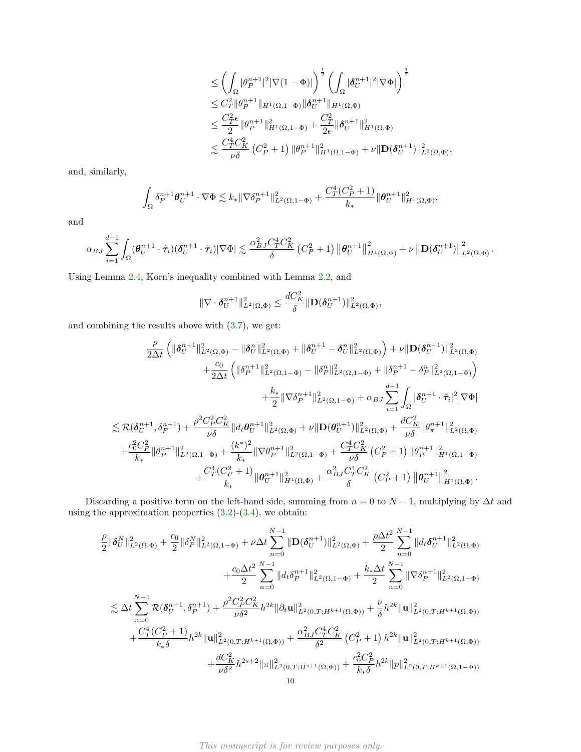$$
\leq \left( \int_{\Omega} |\theta_P^{n+1}|^2 |\nabla (1 - \Phi)| \right)^{\frac{1}{2}} \left( \int_{\Omega} |\delta_U^{n+1}|^2 |\nabla \Phi| \right)^{\frac{1}{2}} \n\leq C_T^2 \|\theta_P^{n+1}\|_{H^1(\Omega, 1 - \Phi)} \|\delta_U^{n+1}\|_{H^1(\Omega, \Phi)} \n\leq \frac{C_T^2 \epsilon}{2} \|\theta_P^{n+1}\|_{H^1(\Omega, 1 - \Phi)}^2 + \frac{C_T^2}{2\epsilon} \|\delta_U^{n+1}\|_{H^1(\Omega, \Phi)}^2 \n\lesssim \frac{C_T^4 C_K^2}{\nu \delta} (C_P^2 + 1) \|\theta_P^{n+1}\|_{H^1(\Omega, 1 - \Phi)}^2 + \nu \|\mathbf{D}(\delta_U^{n+1})\|_{L^2(\Omega, \Phi)}^2,
$$

and, similarly,

$$
\int_{\Omega} \delta_P^{n+1} \theta_U^{n+1} \cdot \nabla \Phi \lesssim k_* \| \nabla \delta_P^{n+1} \|_{L^2(\Omega, 1-\Phi)}^2 + \frac{C_T^4 (C_P^2 + 1)}{k_*} \| \theta_U^{n+1} \|_{H^1(\Omega, \Phi)}^2,
$$

and

$$
\alpha_{BJ} \sum_{i=1}^{d-1} \int_\Omega (\boldsymbol\theta_{U}^{n+1} \cdot \tilde{\boldsymbol{\tau}}_i) (\boldsymbol\delta_U^{n+1} \cdot \tilde{\boldsymbol{\tau}}_i) | \nabla \Phi | \lesssim \frac{\alpha_{BJ}^2 C_T^4 C_K^2}{\delta} \left(C_P^2 + 1 \right) \left\| \boldsymbol\theta_U^{n+1} \right\|_{H^1(\Omega,\Phi)}^2 + \nu \left\| \mathbf{D}(\boldsymbol\delta_U^{n+1}) \right\|_{L^2(\Omega,\Phi)}^2.
$$

Using Lemma [2.4,](#page-4-3) Korn's inequality combined with Lemma [2.2,](#page-3-1) and

$$
\|\nabla \cdot \boldsymbol{\delta}_U^{n+1}\|_{L^2(\Omega,\Phi)}^2 \leq \frac{dC_K^2}{\delta} \|\mathbf{D}(\boldsymbol{\delta}_U^{n+1})\|_{L^2(\Omega,\Phi)}^2,
$$

and combining the results above with [\(3.7\)](#page-8-1), we get:

$$
\frac{\rho}{2\Delta t} \left( \|\boldsymbol{\delta}_{U}^{n+1}\|_{L^{2}(\Omega,\Phi)}^{2} - \|\boldsymbol{\delta}_{U}^{n}\|_{L^{2}(\Omega,\Phi)}^{2} + \|\boldsymbol{\delta}_{U}^{n+1} - \boldsymbol{\delta}_{U}^{n}\|_{L^{2}(\Omega,\Phi)}^{2} \right) + \nu \|\mathbf{D}(\boldsymbol{\delta}_{U}^{n+1})\|_{L^{2}(\Omega,\Phi)}^{2}
$$
\n
$$
+ \frac{c_{0}}{2\Delta t} \left( \|\boldsymbol{\delta}_{P}^{n+1}\|_{L^{2}(\Omega,1-\Phi)}^{2} - \|\boldsymbol{\delta}_{P}^{n}\|_{L^{2}(\Omega,1-\Phi)}^{2} + \|\boldsymbol{\delta}_{P}^{n+1} - \boldsymbol{\delta}_{P}^{n}\|_{L^{2}(\Omega,1-\Phi)}^{2} \right)
$$
\n
$$
+ \frac{k_{*}}{2} \|\nabla \delta_{P}^{n+1}\|_{L^{2}(\Omega,1-\Phi)}^{2} + \alpha_{BJ} \sum_{i=1}^{d-1} \int_{\Omega} |\boldsymbol{\delta}_{U}^{n+1} \cdot \tilde{\tau}_{i}|^{2} |\nabla \Phi|
$$
\n
$$
\lesssim \mathcal{R}(\boldsymbol{\delta}_{U}^{n+1},\delta_{P}^{n+1}) + \frac{\rho^{2} C_{P}^{2} C_{K}^{2}}{\nu \delta} \|d_{t} \boldsymbol{\theta}_{U}^{n+1} \|_{L^{2}(\Omega,\Phi)}^{2} + \nu \|\mathbf{D}(\boldsymbol{\theta}_{U}^{n+1})\|_{L^{2}(\Omega,\Phi)}^{2} + \frac{dC_{K}^{2}}{\nu \delta} \|\boldsymbol{\theta}_{\pi}^{n+1} \|_{L^{2}(\Omega,\Phi)}^{2}
$$
\n
$$
+ \frac{c_{0}^{2} C_{P}^{2}}{k_{*}} \|\boldsymbol{\theta}_{P}^{n+1} \|_{L^{2}(\Omega,1-\Phi)}^{2} + \frac{(k^{*})^{2}}{k_{*}} \|\nabla \boldsymbol{\theta}_{P}^{n+1} \|_{L^{2}(\Omega,1-\Phi)}^{2} + \frac{C_{T}^{4} C_{K}^{2}}{\nu \delta} \left( C_{P}^{2} + 1 \right) \|\boldsymbol{\theta}_{P}^{n+1} \|_{H^{1}(\Omega,1-\Phi)}^{2} + \frac{C
$$

Discarding a positive term on the left-hand side, summing from  $n = 0$  to  $N - 1$ , multiplying by  $\Delta t$  and using the approximation properties  $(3.2)-(3.4)$  $(3.2)-(3.4)$ , we obtain:

$$
\frac{\rho}{2} \|\delta_{U}^{N}\|_{L^{2}(\Omega,\Phi)}^{2} + \frac{c_{0}}{2} \|\delta_{P}^{N}\|_{L^{2}(\Omega,1-\Phi)}^{2} + \nu \Delta t \sum_{n=0}^{N-1} \|\mathbf{D}(\delta_{U}^{n+1})\|_{L^{2}(\Omega,\Phi)}^{2} + \frac{\rho \Delta t^{2}}{2} \sum_{n=0}^{N-1} \|d_{t}\delta_{U}^{n+1}\|_{L^{2}(\Omega,\Phi)}^{2}
$$
\n
$$
+ \frac{c_{0}\Delta t^{2}}{2} \sum_{n=0}^{N-1} \|d_{t}\delta_{P}^{n+1}\|_{L^{2}(\Omega,1-\Phi)}^{2} + \frac{k_{*}\Delta t}{2} \sum_{n=0}^{N-1} \|\nabla \delta_{P}^{n+1}\|_{L^{2}(\Omega,1-\Phi)}^{2}
$$
\n
$$
\lesssim \Delta t \sum_{n=0}^{N-1} \mathcal{R}(\delta_{U}^{n+1}, \delta_{P}^{n+1}) + \frac{\rho^{2}C_{P}^{2}C_{K}^{2}}{\nu\delta^{2}} h^{2k} \|\partial_{t}\mathbf{u}\|_{L^{2}(0,T;H^{k+1}(\Omega,\Phi))}^{2} + \frac{\nu}{\delta} h^{2k} \|\mathbf{u}\|_{L^{2}(0,T;H^{k+1}(\Omega,\Phi))}^{2}
$$
\n
$$
+ \frac{C_{T}^{4}(C_{P}^{2}+1)}{k_{*}\delta} h^{2k} \|\mathbf{u}\|_{L^{2}(0,T;H^{k+1}(\Omega,\Phi))}^{2} + \frac{\alpha_{BJ}^{2}C_{T}^{4}C_{K}^{2}}{\delta^{2}} (C_{P}^{2}+1) h^{2k} \|\mathbf{u}\|_{L^{2}(0,T;H^{k+1}(\Omega,\Phi))}^{2}
$$
\n
$$
+ \frac{dC_{K}^{2}}{\nu\delta^{2}} h^{2s+2} \|\pi\|_{L^{2}(0,T;H^{s+1}(\Omega,\Phi))}^{2} + \frac{c_{0}^{2}C_{P}^{2}}{k_{*}\delta} h^{2k} \|p\|_{L^{2}(0,T;H^{k+1}(\Omega,1-\Phi))}^{2}
$$
\n
$$
\leq 1
$$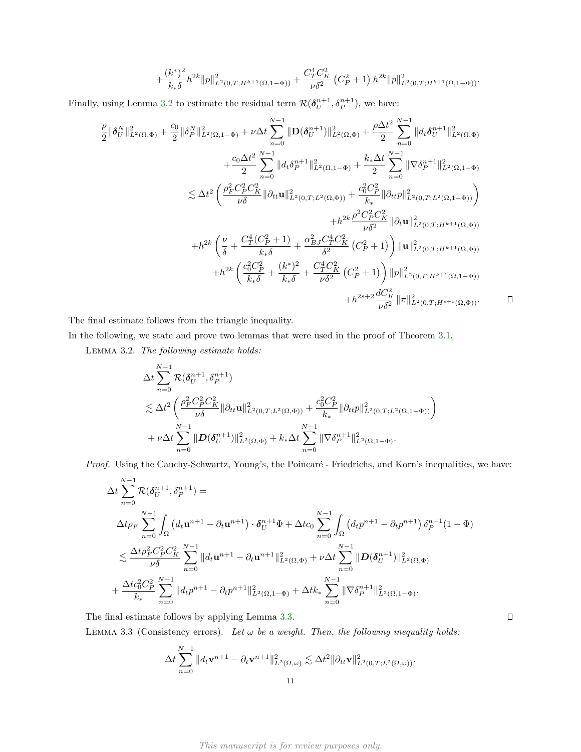$$
+\frac{(k^*)^2}{k_*\delta}h^{2k}||p||^2_{L^2(0,T;H^{k+1}(\Omega,1-\Phi))} + \frac{C_T^4C_K^2}{\nu\delta^2}\left(C_P^2+1\right)h^{2k}||p||^2_{L^2(0,T;H^{k+1}(\Omega,1-\Phi))}.
$$

Finally, using Lemma [3.2](#page-10-0) to estimate the residual term  $\mathcal{R}(\delta_{U}^{n+1}, \delta_{P}^{n+1})$ , we have:

$$
\frac{\rho}{2} \|\delta_{U}^{N}\|_{L^{2}(\Omega,\Phi)}^{2} + \frac{c_{0}}{2} \|\delta_{P}^{N}\|_{L^{2}(\Omega,1-\Phi)}^{2} + \nu \Delta t \sum_{n=0}^{N-1} \|\mathbf{D}(\delta_{U}^{n+1})\|_{L^{2}(\Omega,\Phi)}^{2} + \frac{\rho \Delta t^{2}}{2} \sum_{n=0}^{N-1} \|d_{t}\delta_{U}^{n+1}\|_{L^{2}(\Omega,\Phi)}^{2}
$$
\n
$$
+ \frac{c_{0}\Delta t^{2}}{2} \sum_{n=0}^{N-1} \|d_{t}\delta_{P}^{n+1}\|_{L^{2}(\Omega,1-\Phi)}^{2} + \frac{k_{*}\Delta t}{2} \sum_{n=0}^{N-1} \|\nabla \delta_{P}^{n+1}\|_{L^{2}(\Omega,1-\Phi)}^{2}
$$
\n
$$
\lesssim \Delta t^{2} \left(\frac{\rho_{F}^{2}C_{P}^{2}C_{K}^{2}}{\nu\delta} \|\partial_{tt}\mathbf{u}\|_{L^{2}(0,T;L^{2}(\Omega,\Phi))}^{2} + \frac{c_{0}^{2}C_{P}^{2}}{k_{*}} \|\partial_{tt}p\|_{L^{2}(0,T;L^{2}(\Omega,1-\Phi))}^{2}\right)
$$
\n
$$
+ h^{2k} \frac{\rho^{2}C_{P}^{2}C_{K}^{2}}{\nu\delta^{2}} \|\partial_{t}\mathbf{u}\|_{L^{2}(0,T;H^{k+1}(\Omega,\Phi))}^{2}
$$
\n
$$
+ h^{2k} \left(\frac{\nu}{\delta} + \frac{C_{T}^{4}(C_{P}^{2}+1)}{k_{*}\delta} + \frac{\alpha_{BJ}^{2}C_{T}^{4}C_{K}^{2}}{\delta^{2}}\left(C_{P}^{2}+1\right)\right) \|\mathbf{u}\|_{L^{2}(0,T;H^{k+1}(\Omega,\Phi))}^{2}
$$
\n
$$
+ h^{2k} \left(\frac{c_{0}^{2}C_{P}^{2}}{k_{*}\delta} + \frac{(k^{*})^{2}}{k_{*}\delta} + \frac{C_{T}^{4}C_{K}^{2}}{\nu\delta^{2}}\left(C_{P}^{2}+1\right)\right) \|\mathbf{p}\|_{L^{2}(0,T;H^{k+
$$

<span id="page-10-0"></span> $\Box$ 

 $\Box$ 

The final estimate follows from the triangle inequality.

In the following, we state and prove two lemmas that were used in the proof of Theorem [3.1.](#page-7-1)

Lemma 3.2. The following estimate holds:

$$
\Delta t \sum_{n=0}^{N-1} \mathcal{R}(\delta_{U}^{n+1}, \delta_{P}^{n+1})
$$
\n
$$
\lesssim \Delta t^{2} \left( \frac{\rho_{F}^{2} C_{P}^{2} C_{K}^{2}}{\nu \delta} \|\partial_{tt} \mathbf{u}\|_{L^{2}(0,T;L^{2}(\Omega,\Phi))}^{2} + \frac{c_{0}^{2} C_{P}^{2}}{k_{*}} \|\partial_{tt} p\|_{L^{2}(0,T;L^{2}(\Omega,1-\Phi))}^{2} \right)
$$
\n
$$
+ \nu \Delta t \sum_{n=0}^{N-1} \|D(\delta_{U}^{n+1})\|_{L^{2}(\Omega,\Phi)}^{2} + k_{*} \Delta t \sum_{n=0}^{N-1} \|\nabla \delta_{P}^{n+1}\|_{L^{2}(\Omega,1-\Phi)}^{2}.
$$

Proof. Using the Cauchy-Schwartz, Young's, the Poincaré - Friedrichs, and Korn's inequalities, we have:

$$
\Delta t \sum_{n=0}^{N-1} \mathcal{R}(\delta_U^{n+1}, \delta_P^{n+1}) =
$$
\n
$$
\Delta t \rho_F \sum_{n=0}^{N-1} \int_{\Omega} \left( d_t \mathbf{u}^{n+1} - \partial_t \mathbf{u}^{n+1} \right) \cdot \delta_U^{n+1} \Phi + \Delta t c_0 \sum_{n=0}^{N-1} \int_{\Omega} \left( d_t p^{n+1} - \partial_t p^{n+1} \right) \delta_P^{n+1} (1 - \Phi)
$$
\n
$$
\lesssim \frac{\Delta t \rho_F^2 C_P^2 C_K^2}{\nu \delta} \sum_{n=0}^{N-1} \| d_t \mathbf{u}^{n+1} - \partial_t \mathbf{u}^{n+1} \|^2_{L^2(\Omega, \Phi)} + \nu \Delta t \sum_{n=0}^{N-1} \| D(\delta_U^{n+1}) \|^2_{L^2(\Omega, \Phi)}
$$
\n
$$
+ \frac{\Delta t c_0^2 C_P^2}{k_*} \sum_{n=0}^{N-1} \| d_t p^{n+1} - \partial_t p^{n+1} \|^2_{L^2(\Omega, 1 - \Phi)} + \Delta t k_* \sum_{n=0}^{N-1} \| \nabla \delta_P^{n+1} \|^2_{L^2(\Omega, 1 - \Phi)}.
$$

The final estimate follows by applying Lemma [3.3.](#page-10-1)

<span id="page-10-1"></span>LEMMA 3.3 (Consistency errors). Let  $\omega$  be a weight. Then, the following inequality holds:

$$
\Delta t \sum_{n=0}^{N-1} \|d_t \mathbf{v}^{n+1} - \partial_t \mathbf{v}^{n+1}\|_{L^2(\Omega,\omega)}^2 \lesssim \Delta t^2 \|\partial_{tt} \mathbf{v}\|_{L^2(0,T;L^2(\Omega,\omega))}^2.
$$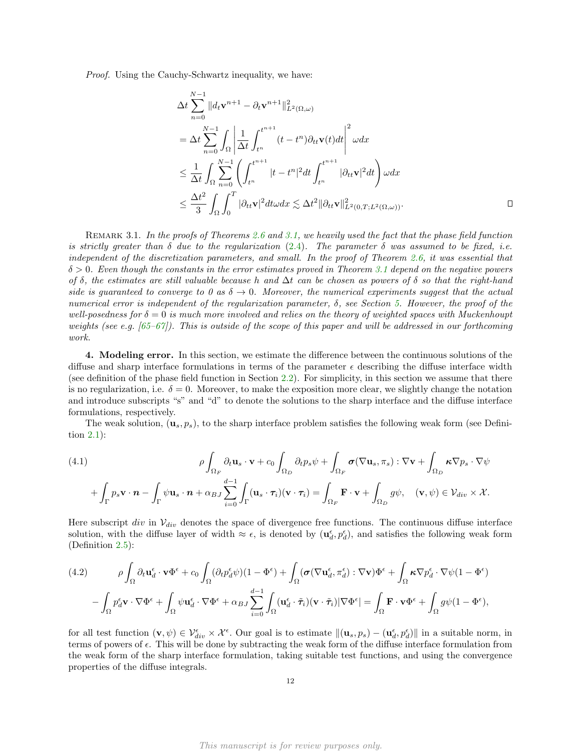Proof. Using the Cauchy-Schwartz inequality, we have:

$$
\Delta t \sum_{n=0}^{N-1} \|d_t \mathbf{v}^{n+1} - \partial_t \mathbf{v}^{n+1}\|_{L^2(\Omega,\omega)}^2
$$
\n
$$
= \Delta t \sum_{n=0}^{N-1} \int_{\Omega} \left| \frac{1}{\Delta t} \int_{t^n}^{t^{n+1}} (t - t^n) \partial_{tt} \mathbf{v}(t) dt \right|^2 \omega dx
$$
\n
$$
\leq \frac{1}{\Delta t} \int_{\Omega} \sum_{n=0}^{N-1} \left( \int_{t^n}^{t^{n+1}} |t - t^n|^2 dt \int_{t^n}^{t^{n+1}} |\partial_{tt} \mathbf{v}|^2 dt \right) \omega dx
$$
\n
$$
\leq \frac{\Delta t^2}{3} \int_{\Omega} \int_0^T |\partial_{tt} \mathbf{v}|^2 dt \omega dx \lesssim \Delta t^2 ||\partial_{tt} \mathbf{v}||_{L^2(0,T;L^2(\Omega,\omega))}^2.
$$

REMARK 3.1. In the proofs of Theorems [2.6](#page-4-4) and [3.1,](#page-7-1) we heavily used the fact that the phase field function is strictly greater than  $\delta$  due to the regularization [\(2.4\)](#page-3-0). The parameter  $\delta$  was assumed to be fixed, i.e. independent of the discretization parameters, and small. In the proof of Theorem [2.6,](#page-4-4) it was essential that  $\delta > 0$ . Even though the constants in the error estimates proved in Theorem [3.1](#page-7-1) depend on the negative powers of  $\delta$ , the estimates are still valuable because h and  $\Delta t$  can be chosen as powers of  $\delta$  so that the right-hand side is guaranteed to converge to 0 as  $\delta \to 0$ . Moreover, the numerical experiments suggest that the actual numerical error is independent of the regularization parameter,  $\delta$ , see Section [5.](#page-14-0) However, the proof of the well-posedness for  $\delta = 0$  is much more involved and relies on the theory of weighted spaces with Muckenhoupt weights (see e.g. [\[65–](#page-18-16)[67\]](#page-18-17)). This is outside of the scope of this paper and will be addressed in our forthcoming work.

<span id="page-11-0"></span>4. Modeling error. In this section, we estimate the difference between the continuous solutions of the diffuse and sharp interface formulations in terms of the parameter  $\epsilon$  describing the diffuse interface width (see definition of the phase field function in Section [2.2\)](#page-2-0). For simplicity, in this section we assume that there is no regularization, i.e.  $\delta = 0$ . Moreover, to make the exposition more clear, we slightly change the notation and introduce subscripts "s" and "d" to denote the solutions to the sharp interface and the diffuse interface formulations, respectively.

The weak solution,  $(\mathbf{u}_s, p_s)$ , to the sharp interface problem satisfies the following weak form (see Definition [2.1\)](#page-2-1):

<span id="page-11-2"></span>(4.1)  
\n
$$
\rho \int_{\Omega_F} \partial_t \mathbf{u}_s \cdot \mathbf{v} + c_0 \int_{\Omega_D} \partial_t p_s \psi + \int_{\Omega_F} \sigma (\nabla \mathbf{u}_s, \pi_s) : \nabla \mathbf{v} + \int_{\Omega_D} \kappa \nabla p_s \cdot \nabla \psi
$$
\n
$$
+ \int_{\Gamma} p_s \mathbf{v} \cdot \mathbf{n} - \int_{\Gamma} \psi \mathbf{u}_s \cdot \mathbf{n} + \alpha_{BJ} \sum_{i=0}^{d-1} \int_{\Gamma} (\mathbf{u}_s \cdot \tau_i) (\mathbf{v} \cdot \tau_i) = \int_{\Omega_F} \mathbf{F} \cdot \mathbf{v} + \int_{\Omega_D} g \psi, \quad (\mathbf{v}, \psi) \in \mathcal{V}_{div} \times \mathcal{X}.
$$

Here subscript div in  $V_{div}$  denotes the space of divergence free functions. The continuous diffuse interface solution, with the diffuse layer of width  $\approx \epsilon$ , is denoted by  $(\mathbf{u}_d^{\epsilon}, p_d^{\epsilon})$ , and satisfies the following weak form (Definition [2.5\)](#page-4-1):

<span id="page-11-1"></span>
$$
(4.2) \qquad \rho \int_{\Omega} \partial_t \mathbf{u}_d^{\epsilon} \cdot \mathbf{v} \Phi^{\epsilon} + c_0 \int_{\Omega} (\partial_t p_d^{\epsilon} \psi)(1 - \Phi^{\epsilon}) + \int_{\Omega} (\boldsymbol{\sigma} (\nabla \mathbf{u}_d^{\epsilon}, \pi_d^{\epsilon}) : \nabla \mathbf{v}) \Phi^{\epsilon} + \int_{\Omega} \boldsymbol{\kappa} \nabla p_d^{\epsilon} \cdot \nabla \psi (1 - \Phi^{\epsilon})
$$

$$
- \int_{\Omega} p_d^{\epsilon} \mathbf{v} \cdot \nabla \Phi^{\epsilon} + \int_{\Omega} \psi \mathbf{u}_d^{\epsilon} \cdot \nabla \Phi^{\epsilon} + \alpha_{BJ} \sum_{i=0}^{d-1} \int_{\Omega} (\mathbf{u}_d^{\epsilon} \cdot \tilde{\boldsymbol{\tau}}_i)(\mathbf{v} \cdot \tilde{\boldsymbol{\tau}}_i) |\nabla \Phi^{\epsilon}| = \int_{\Omega} \mathbf{F} \cdot \mathbf{v} \Phi^{\epsilon} + \int_{\Omega} g \psi (1 - \Phi^{\epsilon}),
$$

for all test function  $(\mathbf{v}, \psi) \in \mathcal{V}_{div}^{\epsilon} \times \mathcal{X}^{\epsilon}$ . Our goal is to estimate  $\|(\mathbf{u}_s, p_s) - (\mathbf{u}_d^{\epsilon}, p_d^{\epsilon})\|$  in a suitable norm, in terms of powers of  $\epsilon$ . This will be done by subtracting the weak form of the diffuse interface formulation from the weak form of the sharp interface formulation, taking suitable test functions, and using the convergence properties of the diffuse integrals.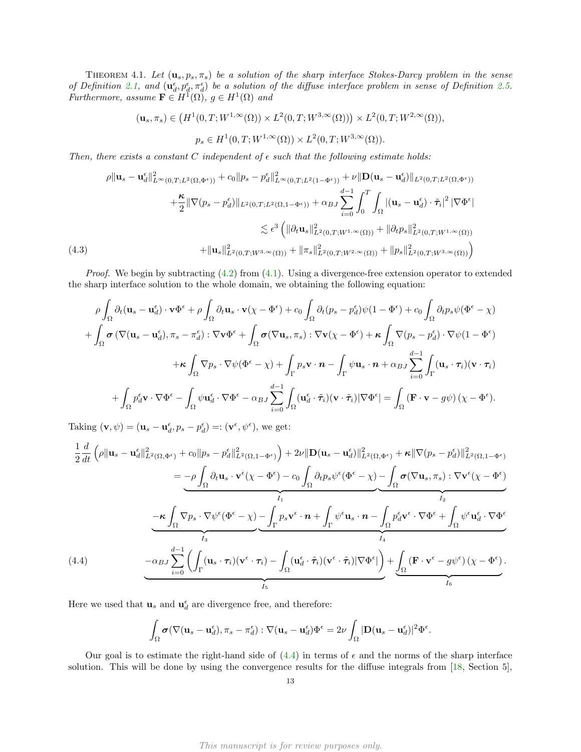THEOREM 4.1. Let  $(\mathbf{u}_s, p_s, \pi_s)$  be a solution of the sharp interface Stokes-Darcy problem in the sense of Definition [2.1,](#page-2-1) and  $(\mathbf{u}_d^{\epsilon}, p_d^{\epsilon}, \pi_d^{\epsilon})$  be a solution of the diffuse interface problem in sense of Definition [2.5.](#page-4-1) Furthermore, assume  $\mathbf{F} \in H^1(\Omega)$ ,  $g \in H^1(\Omega)$  and

 $(\mathbf{u}_s, \pi_s) \in (H^1(0,T; W^{1,\infty}(\Omega)) \times L^2(0,T; W^{3,\infty}(\Omega))) \times L^2(0,T; W^{2,\infty}(\Omega)),$ 

 $p_s \in H^1(0,T;W^{1,\infty}(\Omega)) \times L^2(0,T;W^{3,\infty}(\Omega)).$ 

Then, there exists a constant C independent of  $\epsilon$  such that the following estimate holds:

$$
\rho \| \mathbf{u}_{s} - \mathbf{u}_{d}^{\epsilon} \|_{L^{\infty}(0,T;L^{2}(\Omega,\Phi^{\epsilon}))}^{2} + c_{0} \| p_{s} - p_{d}^{\epsilon} \|_{L^{\infty}(0,T;L^{2}(1-\Phi^{\epsilon}))}^{2} + \nu \| \mathbf{D}(\mathbf{u}_{s} - \mathbf{u}_{d}^{\epsilon}) \|_{L^{2}(0,T;L^{2}(\Omega,\Phi^{\epsilon}))}
$$
\n
$$
+ \frac{\kappa}{2} \| \nabla (p_{s} - p_{d}^{\epsilon}) \|_{L^{2}(0,T;L^{2}(\Omega,1-\Phi^{\epsilon}))} + \alpha_{BJ} \sum_{i=0}^{d-1} \int_{0}^{T} \int_{\Omega} |(\mathbf{u}_{s} - \mathbf{u}_{d}^{\epsilon}) \cdot \tilde{\tau}_{i}|^{2} |\nabla \Phi^{\epsilon}|
$$
\n
$$
\lesssim \epsilon^{3} \left( \| \partial_{t} \mathbf{u}_{s} \|_{L^{2}(0,T;W^{1,\infty}(\Omega))}^{2} + \| \partial_{t} p_{s} \|_{L^{2}(0,T;W^{1,\infty}(\Omega))}^{2} \right)
$$
\n
$$
(4.3)
$$
\n
$$
(4.3)
$$

<span id="page-12-1"></span>*Proof.* We begin by subtracting  $(4.2)$  from  $(4.1)$ . Using a divergence-free extension operator to extended the sharp interface solution to the whole domain, we obtaining the following equation:

$$
\rho \int_{\Omega} \partial_t (\mathbf{u}_s - \mathbf{u}_d^{\epsilon}) \cdot \mathbf{v} \Phi^{\epsilon} + \rho \int_{\Omega} \partial_t \mathbf{u}_s \cdot \mathbf{v} (\chi - \Phi^{\epsilon}) + c_0 \int_{\Omega} \partial_t (p_s - p_d^{\epsilon}) \psi (1 - \Phi^{\epsilon}) + c_0 \int_{\Omega} \partial_t p_s \psi (\Phi^{\epsilon} - \chi)
$$
  
+ 
$$
\int_{\Omega} \sigma (\nabla (\mathbf{u}_s - \mathbf{u}_d^{\epsilon}), \pi_s - \pi_d^{\epsilon}) : \nabla \mathbf{v} \Phi^{\epsilon} + \int_{\Omega} \sigma (\nabla \mathbf{u}_s, \pi_s) : \nabla \mathbf{v} (\chi - \Phi^{\epsilon}) + \kappa \int_{\Omega} \nabla (p_s - p_d^{\epsilon}) \cdot \nabla \psi (1 - \Phi^{\epsilon})
$$
  
+ 
$$
\kappa \int_{\Omega} \nabla p_s \cdot \nabla \psi (\Phi^{\epsilon} - \chi) + \int_{\Gamma} p_s \mathbf{v} \cdot \mathbf{n} - \int_{\Gamma} \psi \mathbf{u}_s \cdot \mathbf{n} + \alpha_{BJ} \sum_{i=0}^{d-1} \int_{\Gamma} (\mathbf{u}_s \cdot \tau_i) (\mathbf{v} \cdot \tau_i)
$$
  
+ 
$$
\int_{\Omega} p_d^{\epsilon} \mathbf{v} \cdot \nabla \Phi^{\epsilon} - \int_{\Omega} \psi \mathbf{u}_d^{\epsilon} \cdot \nabla \Phi^{\epsilon} - \alpha_{BJ} \sum_{i=0}^{d-1} \int_{\Omega} (\mathbf{u}_d^{\epsilon} \cdot \tilde{\tau}_i) (\mathbf{v} \cdot \tilde{\tau}_i) |\nabla \Phi^{\epsilon}| = \int_{\Omega} (\mathbf{F} \cdot \mathbf{v} - g\psi) (\chi - \Phi^{\epsilon}).
$$

Taking  $(\mathbf{v}, \psi) = (\mathbf{u}_s - \mathbf{u}_d^{\epsilon}, p_s - p_d^{\epsilon}) =: (\mathbf{v}^{\epsilon}, \psi^{\epsilon}),$  we get:

$$
\frac{1}{2} \frac{d}{dt} \left( \rho \| \mathbf{u}_s - \mathbf{u}_d^{\epsilon} \|^2_{L^2(\Omega, \Phi^{\epsilon})} + c_0 \| p_s - p_d^{\epsilon} \|^2_{L^2(\Omega, 1 - \Phi^{\epsilon})} \right) + 2\nu \| \mathbf{D} (\mathbf{u}_s - \mathbf{u}_d^{\epsilon}) \|^2_{L^2(\Omega, \Phi^{\epsilon})} + \kappa \| \nabla (p_s - p_d^{\epsilon}) \|^2_{L^2(\Omega, 1 - \Phi^{\epsilon})}
$$
\n
$$
= -\rho \int_{\Omega} \partial_t \mathbf{u}_s \cdot \mathbf{v}^{\epsilon} (\chi - \Phi^{\epsilon}) - c_0 \int_{\Omega} \partial_t p_s \psi^{\epsilon} (\Phi^{\epsilon} - \chi) - \int_{\Omega} \sigma (\nabla \mathbf{u}_s, \pi_s) : \nabla \mathbf{v}^{\epsilon} (\chi - \Phi^{\epsilon})
$$
\n
$$
- \kappa \int_{\Omega} \nabla p_s \cdot \nabla \psi^{\epsilon} (\Phi^{\epsilon} - \chi) - \int_{\Gamma} p_s \mathbf{v}^{\epsilon} \cdot \mathbf{n} + \int_{\Gamma} \psi^{\epsilon} \mathbf{u}_s \cdot \mathbf{n} - \int_{\Omega} p_d^{\epsilon} \mathbf{v}^{\epsilon} \cdot \nabla \Phi^{\epsilon} + \int_{\Omega} \psi^{\epsilon} \mathbf{u}_d^{\epsilon} \cdot \nabla \Phi^{\epsilon}
$$
\n
$$
(4.4)
$$
\n
$$
- \alpha_{BJ} \sum_{i=0}^{d-1} \left( \int_{\Gamma} (\mathbf{u}_s \cdot \tau_i) (\mathbf{v}^{\epsilon} \cdot \tau_i) - \int_{\Omega} (\mathbf{u}_d^{\epsilon} \cdot \tilde{\tau}_i) (\mathbf{v}^{\epsilon} \cdot \tilde{\tau}_i) |\nabla \Phi^{\epsilon} | \right) + \underbrace{\int_{\Omega} (\mathbf{F} \cdot \mathbf{v}^{\epsilon} - g \psi^{\epsilon}) (\chi - \Phi^{\epsilon})}_{I_6}.
$$

<span id="page-12-0"></span>Here we used that  $\mathbf{u}_s$  and  $\mathbf{u}_d^\epsilon$  are divergence free, and therefore:

$$
\int_{\Omega} \boldsymbol{\sigma} (\nabla (\mathbf{u}_s - \mathbf{u}_d^{\epsilon}), \pi_s - \pi_d^{\epsilon}) : \nabla (\mathbf{u}_s - \mathbf{u}_d^{\epsilon}) \Phi^{\epsilon} = 2\nu \int_{\Omega} |\mathbf{D} (\mathbf{u}_s - \mathbf{u}_d^{\epsilon})|^2 \Phi^{\epsilon}.
$$

Our goal is to estimate the right-hand side of  $(4.4)$  in terms of  $\epsilon$  and the norms of the sharp interface solution. This will be done by using the convergence results for the diffuse integrals from [\[18,](#page-17-15) Section 5],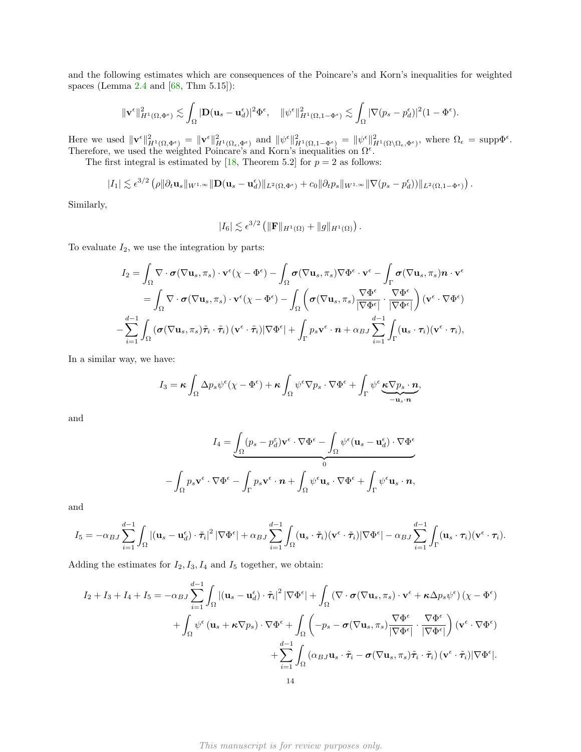and the following estimates which are consequences of the Poincare's and Korn's inequalities for weighted spaces (Lemma [2.4](#page-4-3) and [\[68,](#page-18-18) Thm 5.15]):

$$
\|\mathbf{v}^{\epsilon}\|_{H^1(\Omega,\Phi^{\epsilon})}^2 \lesssim \int_{\Omega} |\mathbf{D}(\mathbf{u}_s - \mathbf{u}_d^{\epsilon})|^2 \Phi^{\epsilon}, \quad \|\psi^{\epsilon}\|_{H^1(\Omega,1-\Phi^{\epsilon})}^2 \lesssim \int_{\Omega} |\nabla(p_s - p_d^{\epsilon})|^2 (1-\Phi^{\epsilon}).
$$

Here we used  $\|\mathbf{v}^{\epsilon}\|_{H^1(\Omega,\Phi^{\epsilon})}^2 = \|\mathbf{v}^{\epsilon}\|_{H^1(\Omega_{\epsilon},\Phi^{\epsilon})}^2$  and  $\|\psi^{\epsilon}\|_{H^1(\Omega,1-\Phi^{\epsilon})}^2 = \|\psi^{\epsilon}\|_{H^1(\Omega\setminus\Omega_{\epsilon},\Phi^{\epsilon})}^2$ , where  $\Omega_{\epsilon} = \text{supp}\Phi^{\epsilon}$ . Therefore, we used the weighted Poincare's and Korn's inequalities on  $\Omega^{\epsilon}$ .

The first integral is estimated by [\[18,](#page-17-15) Theorem 5.2] for  $p = 2$  as follows:

$$
|I_1| \lesssim \epsilon^{3/2} \left( \rho \|\partial_t \mathbf{u}_s\|_{W^{1,\infty}} \|\mathbf{D}(\mathbf{u}_s - \mathbf{u}_d^{\epsilon})\|_{L^2(\Omega, \Phi^{\epsilon})} + c_0 \|\partial_t p_s\|_{W^{1,\infty}} \|\nabla (p_s - p_d^{\epsilon})\|_{L^2(\Omega, 1 - \Phi^{\epsilon})} \right).
$$

Similarly,

$$
|I_6| \lesssim \epsilon^{3/2} \left( \|\mathbf{F}\|_{H^1(\Omega)} + \|g\|_{H^1(\Omega)} \right).
$$

To evaluate  $I_2$ , we use the integration by parts:

$$
I_2 = \int_{\Omega} \nabla \cdot \boldsymbol{\sigma} (\nabla \mathbf{u}_s, \pi_s) \cdot \mathbf{v}^{\epsilon} (\chi - \Phi^{\epsilon}) - \int_{\Omega} \boldsymbol{\sigma} (\nabla \mathbf{u}_s, \pi_s) \nabla \Phi^{\epsilon} \cdot \mathbf{v}^{\epsilon} - \int_{\Gamma} \boldsymbol{\sigma} (\nabla \mathbf{u}_s, \pi_s) \mathbf{n} \cdot \mathbf{v}^{\epsilon}
$$
  
\n
$$
= \int_{\Omega} \nabla \cdot \boldsymbol{\sigma} (\nabla \mathbf{u}_s, \pi_s) \cdot \mathbf{v}^{\epsilon} (\chi - \Phi^{\epsilon}) - \int_{\Omega} \left( \boldsymbol{\sigma} (\nabla \mathbf{u}_s, \pi_s) \frac{\nabla \Phi^{\epsilon}}{|\nabla \Phi^{\epsilon}|} \cdot \frac{\nabla \Phi^{\epsilon}}{|\nabla \Phi^{\epsilon}|} \right) (\mathbf{v}^{\epsilon} \cdot \nabla \Phi^{\epsilon})
$$
  
\n
$$
- \sum_{i=1}^{d-1} \int_{\Omega} (\boldsymbol{\sigma} (\nabla \mathbf{u}_s, \pi_s) \tilde{\tau}_i \cdot \tilde{\tau}_i) (\mathbf{v}^{\epsilon} \cdot \tilde{\tau}_i) |\nabla \Phi^{\epsilon}| + \int_{\Gamma} p_s \mathbf{v}^{\epsilon} \cdot \mathbf{n} + \alpha_{BJ} \sum_{i=1}^{d-1} \int_{\Gamma} (\mathbf{u}_s \cdot \tau_i) (\mathbf{v}^{\epsilon} \cdot \tau_i),
$$

In a similar way, we have:

$$
I_3 = \kappa \int_{\Omega} \Delta p_s \psi^{\epsilon} (\chi - \Phi^{\epsilon}) + \kappa \int_{\Omega} \psi^{\epsilon} \nabla p_s \cdot \nabla \Phi^{\epsilon} + \int_{\Gamma} \psi^{\epsilon} \underbrace{\kappa \nabla p_s \cdot n}_{-u_s \cdot n},
$$

and

$$
I_4 = \underbrace{\int_{\Omega} (p_s - p_d^{\varepsilon}) \mathbf{v}^{\varepsilon} \cdot \nabla \Phi^{\varepsilon} - \int_{\Omega} \psi^{\varepsilon} (\mathbf{u}_s - \mathbf{u}_d^{\varepsilon}) \cdot \nabla \Phi^{\varepsilon}}_{0}
$$

$$
- \int_{\Omega} p_s \mathbf{v}^{\varepsilon} \cdot \nabla \Phi^{\varepsilon} - \int_{\Gamma} p_s \mathbf{v}^{\varepsilon} \cdot \mathbf{n} + \int_{\Omega} \psi^{\varepsilon} \mathbf{u}_s \cdot \nabla \Phi^{\varepsilon} + \int_{\Gamma} \psi^{\varepsilon} \mathbf{u}_s \cdot \mathbf{n},
$$

and

$$
I_5 = -\alpha_{BJ} \sum_{i=1}^{d-1} \int_{\Omega} |(\mathbf{u}_s - \mathbf{u}_d^{\epsilon}) \cdot \tilde{\boldsymbol{\tau}}_i|^2 |\nabla \Phi^{\epsilon}| + \alpha_{BJ} \sum_{i=1}^{d-1} \int_{\Omega} (\mathbf{u}_s \cdot \tilde{\boldsymbol{\tau}}_i) (\mathbf{v}^{\epsilon} \cdot \tilde{\boldsymbol{\tau}}_i) |\nabla \Phi^{\epsilon}| - \alpha_{BJ} \sum_{i=1}^{d-1} \int_{\Gamma} (\mathbf{u}_s \cdot \boldsymbol{\tau}_i) (\mathbf{v}^{\epsilon} \cdot \boldsymbol{\tau}_i).
$$

Adding the estimates for  $I_2$ ,  $I_3$ ,  $I_4$  and  $I_5$  together, we obtain:

$$
I_2 + I_3 + I_4 + I_5 = -\alpha_{BJ} \sum_{i=1}^{d-1} \int_{\Omega} |(\mathbf{u}_s - \mathbf{u}_d^{\epsilon}) \cdot \tilde{\boldsymbol{\tau}}_i|^2 |\nabla \Phi^{\epsilon}| + \int_{\Omega} (\nabla \cdot \boldsymbol{\sigma} (\nabla \mathbf{u}_s, \pi_s) \cdot \mathbf{v}^{\epsilon} + \kappa \Delta p_s \psi^{\epsilon}) (\chi - \Phi^{\epsilon})
$$
  
+ 
$$
\int_{\Omega} \psi^{\epsilon} (\mathbf{u}_s + \kappa \nabla p_s) \cdot \nabla \Phi^{\epsilon} + \int_{\Omega} \left( -p_s - \boldsymbol{\sigma} (\nabla \mathbf{u}_s, \pi_s) \frac{\nabla \Phi^{\epsilon}}{|\nabla \Phi^{\epsilon}|} \cdot \frac{\nabla \Phi^{\epsilon}}{|\nabla \Phi^{\epsilon}|} \right) (\mathbf{v}^{\epsilon} \cdot \nabla \Phi^{\epsilon})
$$
  
+ 
$$
\sum_{i=1}^{d-1} \int_{\Omega} (\alpha_{BJ} \mathbf{u}_s \cdot \tilde{\boldsymbol{\tau}}_i - \boldsymbol{\sigma} (\nabla \mathbf{u}_s, \pi_s) \tilde{\boldsymbol{\tau}}_i \cdot \tilde{\boldsymbol{\tau}}_i) (\mathbf{v}^{\epsilon} \cdot \tilde{\boldsymbol{\tau}}_i) |\nabla \Phi^{\epsilon}|.
$$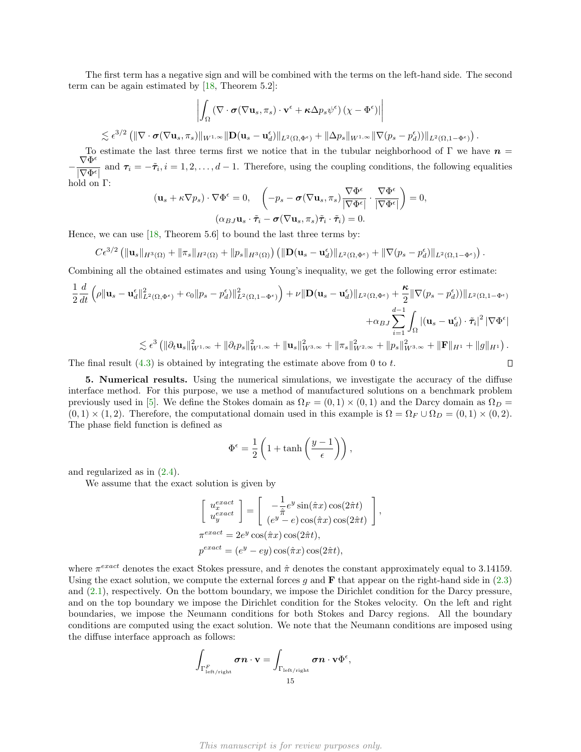The first term has a negative sign and will be combined with the terms on the left-hand side. The second term can be again estimated by [\[18,](#page-17-15) Theorem 5.2]:

$$
\left| \int_{\Omega} \left( \nabla \cdot \boldsymbol{\sigma} (\nabla \mathbf{u}_{s}, \pi_{s}) \cdot \mathbf{v}^{\epsilon} + \boldsymbol{\kappa} \Delta p_{s} \psi^{\epsilon} \right) (\chi - \Phi^{\epsilon}) \right|
$$
  

$$
\epsilon^{3/2} \left( \| \nabla \cdot \boldsymbol{\sigma} (\nabla \mathbf{u}_{s}, \pi_{s}) \|_{W^{1,\infty}} \| \mathbf{D} (\mathbf{u}_{s} - \mathbf{u}_{d}^{\epsilon}) \|_{L^{2}(\Omega, \Phi^{\epsilon})} + \| \Delta p_{s} \|_{W^{1,\infty}} \| \nabla (p_{s} - p_{d}^{\epsilon}) \right) \|_{L^{2}(\Omega, 1 - \Phi^{\epsilon})} \right).
$$

To estimate the last three terms first we notice that in the tubular neighborhood of  $\Gamma$  we have  $n =$  $-\frac{\nabla \Phi^{\epsilon}}{\nabla \Phi^{\epsilon}}$  $\frac{\partial^2 \mathbf{F}}{|\nabla \Phi^{\epsilon}|}$  and  $\tau_i = -\tilde{\tau}_i, i = 1, 2, \dots, d-1$ . Therefore, using the coupling conditions, the following equalities hold on Γ:

$$
(\mathbf{u}_s + \kappa \nabla p_s) \cdot \nabla \Phi^{\epsilon} = 0, \quad \left( -p_s - \boldsymbol{\sigma}(\nabla \mathbf{u}_s, \pi_s) \frac{\nabla \Phi^{\epsilon}}{|\nabla \Phi^{\epsilon}|} \cdot \frac{\nabla \Phi^{\epsilon}}{|\nabla \Phi^{\epsilon}|} \right) = 0,
$$

$$
(\alpha_{BJ} \mathbf{u}_s \cdot \tilde{\tau}_i - \boldsymbol{\sigma}(\nabla \mathbf{u}_s, \pi_s) \tilde{\tau}_i \cdot \tilde{\tau}_i) = 0.
$$

Hence, we can use [\[18,](#page-17-15) Theorem 5.6] to bound the last three terms by:

$$
C\epsilon^{3/2} \left( \|\mathbf{u}_s\|_{H^3(\Omega)} + \|\pi_s\|_{H^2(\Omega)} + \|p_s\|_{H^3(\Omega)} \right) \left( \|\mathbf{D}(\mathbf{u}_s - \mathbf{u}_d^{\epsilon})\|_{L^2(\Omega, \Phi^{\epsilon})} + \|\nabla(p_s - p_d^{\epsilon})\|_{L^2(\Omega, 1 - \Phi^{\epsilon})} \right).
$$

Combining all the obtained estimates and using Young's inequality, we get the following error estimate:

$$
\frac{1}{2}\frac{d}{dt}\left(\rho\|\mathbf{u}_{s}-\mathbf{u}_{d}^{\epsilon}\|_{L^{2}(\Omega,\Phi^{\epsilon})}^{2}+c_{0}\|p_{s}-p_{d}^{\epsilon})\|_{L^{2}(\Omega,1-\Phi^{\epsilon})}^{2}\right)+\nu\|\mathbf{D}(\mathbf{u}_{s}-\mathbf{u}_{d}^{\epsilon})\|_{L^{2}(\Omega,\Phi^{\epsilon})}+\frac{\kappa}{2}\|\nabla(p_{s}-p_{d}^{\epsilon}))\|_{L^{2}(\Omega,1-\Phi^{\epsilon})}+\alpha_{BJ}\sum_{i=1}^{d-1}\int_{\Omega}\left|\left(\mathbf{u}_{s}-\mathbf{u}_{d}^{\epsilon}\right)\cdot\tilde{\tau}_{i}\right|^{2}\|\nabla\Phi^{\epsilon}\|_{\infty}^{2}
$$
  

$$
\lesssim\epsilon^{3}\left(\|\partial_{t}\mathbf{u}_{s}\|_{W^{1,\infty}}^{2}+\|\partial_{t}p_{s}\|_{W^{1,\infty}}^{2}+\|\mathbf{u}_{s}\|_{W^{3,\infty}}^{2}+\|\pi_{s}\|_{W^{2,\infty}}^{2}+\|p_{s}\|_{W^{3,\infty}}^{2}+\|\mathbf{F}\|_{H^{1}}+\|g\|_{H^{1}}\right).
$$
The final result (4.3) is obtained by integrating the estimate above from 0 to  $t$ .

The final result  $(4.3)$  is obtained by integrating the estimate above from 0 to t.

<span id="page-14-0"></span>5. Numerical results. Using the numerical simulations, we investigate the accuracy of the diffuse interface method. For this purpose, we use a method of manufactured solutions on a benchmark problem previously used in [\[5\]](#page-16-4). We define the Stokes domain as  $\Omega_F = (0,1) \times (0,1)$  and the Darcy domain as  $\Omega_D =$  $(0, 1) \times (1, 2)$ . Therefore, the computational domain used in this example is  $\Omega = \Omega_F \cup \Omega_D = (0, 1) \times (0, 2)$ . The phase field function is defined as

$$
\Phi^{\epsilon} = \frac{1}{2} \left( 1 + \tanh\left(\frac{y-1}{\epsilon}\right) \right),
$$

and regularized as in [\(2.4\)](#page-3-0).

 $\lesssim$ 

We assume that the exact solution is given by

$$
\begin{bmatrix}\nu_x^{exact} \\
u_y^{exact}\n\end{bmatrix} = \begin{bmatrix}\n-\frac{1}{\hat{\pi}}e^y \sin(\hat{\pi}x) \cos(2\hat{\pi}t) \\
(e^y - e) \cos(\hat{\pi}x) \cos(2\hat{\pi}t)\n\end{bmatrix}
$$
\n
$$
\pi^{exact} = 2e^y \cos(\hat{\pi}x) \cos(2\hat{\pi}t),
$$
\n
$$
p^{exact} = (e^y - ey) \cos(\hat{\pi}x) \cos(2\hat{\pi}t),
$$

,

where  $\pi^{exact}$  denotes the exact Stokes pressure, and  $\hat{\pi}$  denotes the constant approximately equal to 3.14159. Using the exact solution, we compute the external forces g and  $\bf{F}$  that appear on the right-hand side in [\(2.3\)](#page-1-0) and [\(2.1\)](#page-1-1), respectively. On the bottom boundary, we impose the Dirichlet condition for the Darcy pressure, and on the top boundary we impose the Dirichlet condition for the Stokes velocity. On the left and right boundaries, we impose the Neumann conditions for both Stokes and Darcy regions. All the boundary conditions are computed using the exact solution. We note that the Neumann conditions are imposed using the diffuse interface approach as follows:

$$
\int_{\Gamma^F_{\rm left/right}} \boldsymbol{\sigma}\boldsymbol{n}\cdot\mathbf{v}=\int_{\Gamma_{\rm left/right}} \boldsymbol{\sigma}\boldsymbol{n}\cdot\mathbf{v}\Phi^{\epsilon},\\ 15}
$$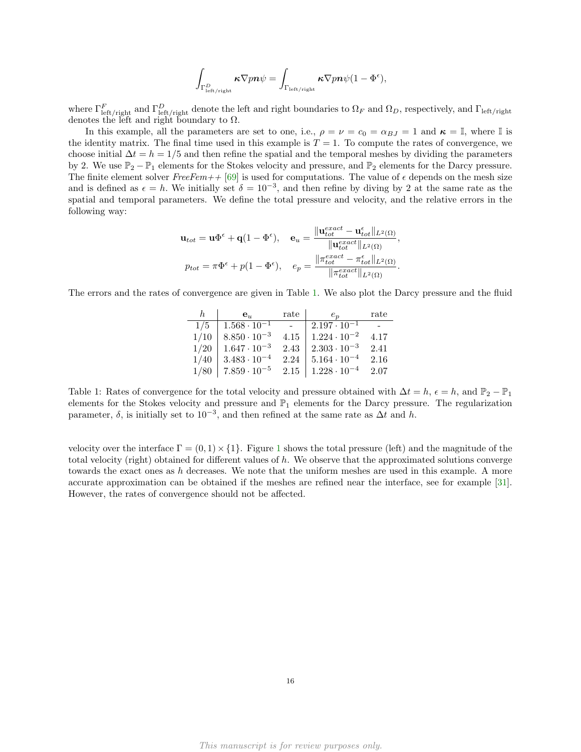$$
\int_{\Gamma^D_{\rm left/right}} \kappa \nabla p \boldsymbol{n} \psi = \int_{\Gamma_{\rm left/right}} \kappa \nabla p \boldsymbol{n} \psi (1 - \Phi^{\epsilon}),
$$

where  $\Gamma_{\rm left/right}^F$  and  $\Gamma_{\rm left/right}^D$  denote the left and right boundaries to  $\Omega_F$  and  $\Omega_D$ , respectively, and  $\Gamma_{\rm left/right}$ denotes the left and right boundary to  $\Omega$ .

In this example, all the parameters are set to one, i.e.,  $\rho = \nu = c_0 = \alpha_{BJ} = 1$  and  $\kappa = \mathbb{I}$ , where  $\mathbb{I}$  is the identity matrix. The final time used in this example is  $T = 1$ . To compute the rates of convergence, we choose initial  $\Delta t = h = 1/5$  and then refine the spatial and the temporal meshes by dividing the parameters by 2. We use  $\mathbb{P}_2 - \mathbb{P}_1$  elements for the Stokes velocity and pressure, and  $\mathbb{P}_2$  elements for the Darcy pressure. The finite element solver  $FreeFem++ [69]$  $FreeFem++ [69]$  is used for computations. The value of  $\epsilon$  depends on the mesh size and is defined as  $\epsilon = h$ . We initially set  $\delta = 10^{-3}$ , and then refine by diving by 2 at the same rate as the spatial and temporal parameters. We define the total pressure and velocity, and the relative errors in the following way:

$$
\mathbf{u}_{tot} = \mathbf{u}\Phi^{\epsilon} + \mathbf{q}(1 - \Phi^{\epsilon}), \quad \mathbf{e}_{u} = \frac{\|\mathbf{u}_{tot}^{exact} - \mathbf{u}_{tot}^{\epsilon}\|_{L^{2}(\Omega)}}{\|\mathbf{u}_{tot}^{exact}\|_{L^{2}(\Omega)}},
$$
\n
$$
p_{tot} = \pi\Phi^{\epsilon} + p(1 - \Phi^{\epsilon}), \quad e_{p} = \frac{\|\pi_{tot}^{exact} - \pi_{tot}^{\epsilon}\|_{L^{2}(\Omega)}}{\|\pi_{tot}^{exact}\|_{L^{2}(\Omega)}}.
$$

<span id="page-15-0"></span>The errors and the rates of convergence are given in Table [1.](#page-15-0) We also plot the Darcy pressure and the fluid

| h.   | $\mathbf{e}_u$        | rate | $e_n$                 | rate |
|------|-----------------------|------|-----------------------|------|
| 1/5  | $1.568 \cdot 10^{-1}$ |      | $2.197 \cdot 10^{-1}$ |      |
| 1/10 | $8.850 \cdot 10^{-3}$ | 4.15 | $1.224 \cdot 10^{-2}$ | 4.17 |
| 1/20 | $1.647 \cdot 10^{-3}$ | 2.43 | $2.303 \cdot 10^{-3}$ | 2.41 |
| 1/40 | $3.483 \cdot 10^{-4}$ | 2.24 | $5.164 \cdot 10^{-4}$ | 2.16 |
| 1/80 | $7.859 \cdot 10^{-5}$ | 2.15 | $1.228 \cdot 10^{-4}$ | 2.07 |

Table 1: Rates of convergence for the total velocity and pressure obtained with  $\Delta t = h$ ,  $\epsilon = h$ , and  $\mathbb{P}_2 - \mathbb{P}_1$ elements for the Stokes velocity and pressure and  $\mathbb{P}_1$  elements for the Darcy pressure. The regularization parameter,  $\delta$ , is initially set to 10<sup>-3</sup>, and then refined at the same rate as  $\Delta t$  and h.

velocity over the interface  $\Gamma = (0,1) \times \{1\}$  $\Gamma = (0,1) \times \{1\}$  $\Gamma = (0,1) \times \{1\}$ . Figure 1 shows the total pressure (left) and the magnitude of the total velocity (right) obtained for different values of h. We observe that the approximated solutions converge towards the exact ones as h decreases. We note that the uniform meshes are used in this example. A more accurate approximation can be obtained if the meshes are refined near the interface, see for example [\[31\]](#page-17-12). However, the rates of convergence should not be affected.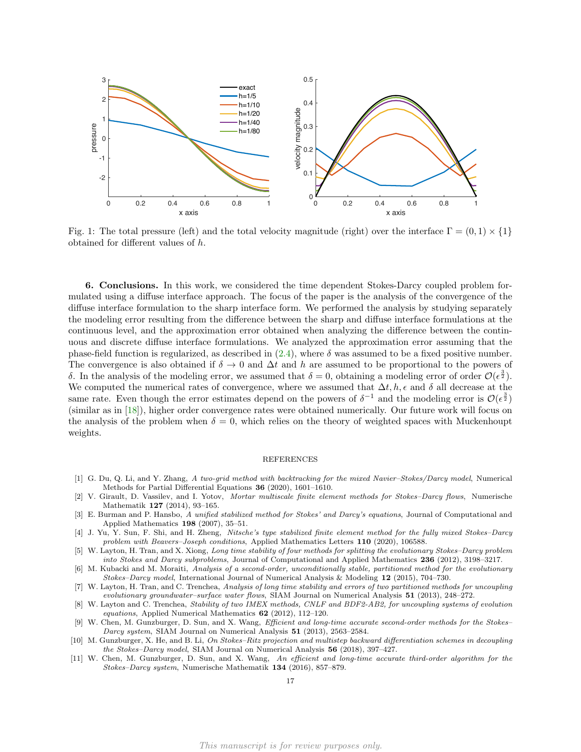<span id="page-16-7"></span>

Fig. 1: The total pressure (left) and the total velocity magnitude (right) over the interface  $\Gamma = (0,1) \times \{1\}$ obtained for different values of h.

6. Conclusions. In this work, we considered the time dependent Stokes-Darcy coupled problem formulated using a diffuse interface approach. The focus of the paper is the analysis of the convergence of the diffuse interface formulation to the sharp interface form. We performed the analysis by studying separately the modeling error resulting from the difference between the sharp and diffuse interface formulations at the continuous level, and the approximation error obtained when analyzing the difference between the continuous and discrete diffuse interface formulations. We analyzed the approximation error assuming that the phase-field function is regularized, as described in  $(2.4)$ , where  $\delta$  was assumed to be a fixed positive number. The convergence is also obtained if  $\delta \to 0$  and  $\Delta t$  and h are assumed to be proportional to the powers of δ. In the analysis of the modeling error, we assumed that  $\delta = 0$ , obtaining a modeling error of order  $\mathcal{O}(\epsilon^{\frac{3}{2}})$ . We computed the numerical rates of convergence, where we assumed that  $\Delta t$ ,  $h$ ,  $\epsilon$  and  $\delta$  all decrease at the same rate. Even though the error estimates depend on the powers of  $\delta^{-1}$  and the modeling error is  $\mathcal{O}(\epsilon^{\frac{3}{2}})$ (similar as in [\[18\]](#page-17-15)), higher order convergence rates were obtained numerically. Our future work will focus on the analysis of the problem when  $\delta = 0$ , which relies on the theory of weighted spaces with Muckenhoupt weights.

#### REFERENCES

- <span id="page-16-0"></span>[1] G. Du, Q. Li, and Y. Zhang, A two-grid method with backtracking for the mixed Navier–Stokes/Darcy model, Numerical Methods for Partial Differential Equations 36 (2020), 1601–1610.
- <span id="page-16-1"></span>[2] V. Girault, D. Vassilev, and I. Yotov, Mortar multiscale finite element methods for Stokes–Darcy flows, Numerische Mathematik 127 (2014), 93–165.
- <span id="page-16-2"></span>[3] E. Burman and P. Hansbo, A unified stabilized method for Stokes' and Darcy's equations, Journal of Computational and Applied Mathematics 198 (2007), 35–51.
- <span id="page-16-3"></span>[4] J. Yu, Y. Sun, F. Shi, and H. Zheng, Nitsche's type stabilized finite element method for the fully mixed Stokes–Darcy problem with Beavers-Joseph conditions, Applied Mathematics Letters 110 (2020), 106588.
- <span id="page-16-4"></span>[5] W. Layton, H. Tran, and X. Xiong, Long time stability of four methods for splitting the evolutionary Stokes–Darcy problem into Stokes and Darcy subproblems, Journal of Computational and Applied Mathematics 236 (2012), 3198–3217.
- [6] M. Kubacki and M. Moraiti, Analysis of a second-order, unconditionally stable, partitioned method for the evolutionary Stokes–Darcy model, International Journal of Numerical Analysis & Modeling 12 (2015), 704–730.
- [7] W. Layton, H. Tran, and C. Trenchea, Analysis of long time stability and errors of two partitioned methods for uncoupling evolutionary groundwater–surface water flows, SIAM Journal on Numerical Analysis 51 (2013), 248–272.
- [8] W. Layton and C. Trenchea, Stability of two IMEX methods, CNLF and BDF2-AB2, for uncoupling systems of evolution equations, Applied Numerical Mathematics 62 (2012), 112–120.
- [9] W. Chen, M. Gunzburger, D. Sun, and X. Wang, Efficient and long-time accurate second-order methods for the Stokes– Darcy system, SIAM Journal on Numerical Analysis 51 (2013), 2563–2584.
- <span id="page-16-5"></span>[10] M. Gunzburger, X. He, and B. Li, On Stokes–Ritz projection and multistep backward differentiation schemes in decoupling the Stokes–Darcy model, SIAM Journal on Numerical Analysis 56 (2018), 397–427.
- <span id="page-16-6"></span>[11] W. Chen, M. Gunzburger, D. Sun, and X. Wang, An efficient and long-time accurate third-order algorithm for the Stokes–Darcy system, Numerische Mathematik 134 (2016), 857–879.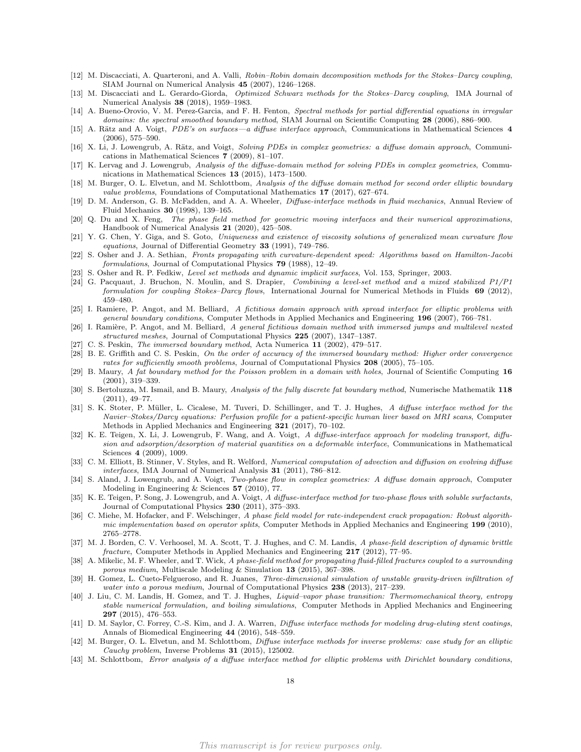- <span id="page-17-0"></span>[12] M. Discacciati, A. Quarteroni, and A. Valli, Robin–Robin domain decomposition methods for the Stokes–Darcy coupling, SIAM Journal on Numerical Analysis 45 (2007), 1246–1268.
- <span id="page-17-1"></span>[13] M. Discacciati and L. Gerardo-Giorda, Optimized Schwarz methods for the Stokes–Darcy coupling, IMA Journal of Numerical Analysis 38 (2018), 1959–1983.
- <span id="page-17-2"></span>[14] A. Bueno-Orovio, V. M. Perez-Garcia, and F. H. Fenton, Spectral methods for partial differential equations in irregular domains: the spectral smoothed boundary method, SIAM Journal on Scientific Computing 28 (2006), 886–900.
- [15] A. Rätz and A. Voigt, PDE's on surfaces—a diffuse interface approach, Communications in Mathematical Sciences 4 (2006), 575–590.
- <span id="page-17-14"></span>[16] X. Li, J. Lowengrub, A. Rätz, and Voigt, Solving PDEs in complex geometries: a diffuse domain approach, Communications in Mathematical Sciences 7 (2009), 81–107.
- [17] K. Lervag and J. Lowengrub, Analysis of the diffuse-domain method for solving PDEs in complex geometries, Communications in Mathematical Sciences 13 (2015), 1473–1500.
- <span id="page-17-15"></span>[18] M. Burger, O. L. Elvetun, and M. Schlottbom, Analysis of the diffuse domain method for second order elliptic boundary value problems, Foundations of Computational Mathematics 17 (2017), 627–674.
- [19] D. M. Anderson, G. B. McFadden, and A. A. Wheeler, Diffuse-interface methods in fluid mechanics, Annual Review of Fluid Mechanics 30 (1998), 139–165.
- <span id="page-17-3"></span>[20] Q. Du and X. Feng, The phase field method for geometric moving interfaces and their numerical approximations, Handbook of Numerical Analysis 21 (2020), 425–508.
- <span id="page-17-4"></span>[21] Y. G. Chen, Y. Giga, and S. Goto, Uniqueness and existence of viscosity solutions of generalized mean curvature flow equations, Journal of Differential Geometry 33 (1991), 749–786.
- [22] S. Osher and J. A. Sethian, Fronts propagating with curvature-dependent speed: Algorithms based on Hamilton-Jacobi formulations, Journal of Computational Physics 79 (1988), 12–49.
- [23] S. Osher and R. P. Fedkiw, Level set methods and dynamic implicit surfaces, Vol. 153, Springer, 2003.
- <span id="page-17-5"></span>[24] G. Pacquaut, J. Bruchon, N. Moulin, and S. Drapier, Combining a level-set method and a mixed stabilized P1/P1 formulation for coupling Stokes–Darcy flows, International Journal for Numerical Methods in Fluids 69 (2012), 459–480.
- <span id="page-17-6"></span>[25] I. Ramiere, P. Angot, and M. Belliard, A fictitious domain approach with spread interface for elliptic problems with general boundary conditions, Computer Methods in Applied Mechanics and Engineering 196 (2007), 766–781.
- <span id="page-17-7"></span>[26] I. Ramière, P. Angot, and M. Belliard, A general fictitious domain method with immersed jumps and multilevel nested structured meshes, Journal of Computational Physics 225 (2007), 1347–1387.
- <span id="page-17-8"></span>[27] C. S. Peskin, The immersed boundary method, Acta Numerica 11 (2002), 479–517.
- <span id="page-17-9"></span>[28] B. E. Griffith and C. S. Peskin, On the order of accuracy of the immersed boundary method: Higher order convergence rates for sufficiently smooth problems, Journal of Computational Physics 208 (2005), 75–105.
- <span id="page-17-10"></span>[29] B. Maury, A fat boundary method for the Poisson problem in a domain with holes, Journal of Scientific Computing 16 (2001), 319–339.
- <span id="page-17-11"></span>[30] S. Bertoluzza, M. Ismail, and B. Maury, Analysis of the fully discrete fat boundary method, Numerische Mathematik 118 (2011), 49–77.
- <span id="page-17-12"></span>[31] S. K. Stoter, P. Müller, L. Cicalese, M. Tuveri, D. Schillinger, and T. J. Hughes, A diffuse interface method for the Navier–Stokes/Darcy equations: Perfusion profile for a patient-specific human liver based on MRI scans, Computer Methods in Applied Mechanics and Engineering 321 (2017), 70–102.
- <span id="page-17-17"></span>[32] K. E. Teigen, X. Li, J. Lowengrub, F. Wang, and A. Voigt, A diffuse-interface approach for modeling transport, diffusion and adsorption/desorption of material quantities on a deformable interface, Communications in Mathematical Sciences 4 (2009), 1009.
- <span id="page-17-18"></span>[33] C. M. Elliott, B. Stinner, V. Styles, and R. Welford, Numerical computation of advection and diffusion on evolving diffuse interfaces, IMA Journal of Numerical Analysis 31 (2011), 786–812.
- [34] S. Aland, J. Lowengrub, and A. Voigt, Two-phase flow in complex geometries: A diffuse domain approach, Computer Modeling in Engineering & Sciences 57 (2010), 77.
- [35] K. E. Teigen, P. Song, J. Lowengrub, and A. Voigt, A diffuse-interface method for two-phase flows with soluble surfactants, Journal of Computational Physics 230 (2011), 375–393.
- [36] C. Miehe, M. Hofacker, and F. Welschinger, A phase field model for rate-independent crack propagation: Robust algorithmic implementation based on operator splits, Computer Methods in Applied Mechanics and Engineering 199 (2010), 2765–2778.
- [37] M. J. Borden, C. V. Verhoosel, M. A. Scott, T. J. Hughes, and C. M. Landis, A phase-field description of dynamic brittle fracture, Computer Methods in Applied Mechanics and Engineering 217 (2012), 77–95.
- [38] A. Mikelic, M. F. Wheeler, and T. Wick, A phase-field method for propagating fluid-filled fractures coupled to a surrounding porous medium, Multiscale Modeling & Simulation 13 (2015), 367–398.
- [39] H. Gomez, L. Cueto-Felgueroso, and R. Juanes, Three-dimensional simulation of unstable gravity-driven infiltration of water into a porous medium, Journal of Computational Physics 238 (2013), 217–239.
- [40] J. Liu, C. M. Landis, H. Gomez, and T. J. Hughes, Liquid–vapor phase transition: Thermomechanical theory, entropy stable numerical formulation, and boiling simulations, Computer Methods in Applied Mechanics and Engineering 297 (2015), 476–553.
- <span id="page-17-13"></span>[41] D. M. Saylor, C. Forrey, C.-S. Kim, and J. A. Warren, *Diffuse interface methods for modeling drug-eluting stent coatings*, Annals of Biomedical Engineering 44 (2016), 548–559.
- <span id="page-17-16"></span>[42] M. Burger, O. L. Elvetun, and M. Schlottbom, *Diffuse interface methods for inverse problems: case study for an elliptic* Cauchy problem, Inverse Problems 31 (2015), 125002.
- [43] M. Schlottbom, Error analysis of a diffuse interface method for elliptic problems with Dirichlet boundary conditions,